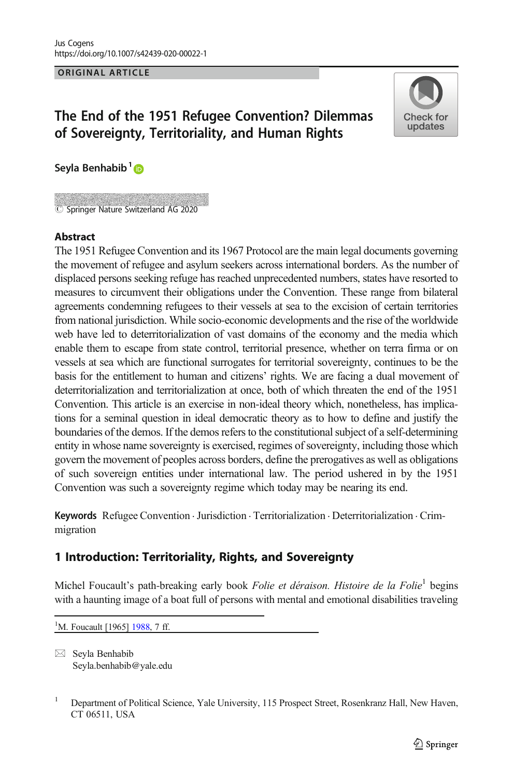ORIGINAL ARTICLE

# The End of the 1951 Refugee Convention? Dilemmas of Sovereignty, Territoriality, and Human Rights



Seyla Benhabib<sup>1</sup>

Springer Nature Switzerland AG 2020

#### **Abstract**

The 1951 Refugee Convention and its 1967 Protocol are the main legal documents governing the movement of refugee and asylum seekers across international borders. As the number of displaced persons seeking refuge has reached unprecedented numbers, states have resorted to measures to circumvent their obligations under the Convention. These range from bilateral agreements condemning refugees to their vessels at sea to the excision of certain territories from national jurisdiction. While socio-economic developments and the rise of the worldwide web have led to deterritorialization of vast domains of the economy and the media which enable them to escape from state control, territorial presence, whether on terra firma or on vessels at sea which are functional surrogates for territorial sovereignty, continues to be the basis for the entitlement to human and citizens' rights. We are facing a dual movement of deterritorialization and territorialization at once, both of which threaten the end of the 1951 Convention. This article is an exercise in non-ideal theory which, nonetheless, has implications for a seminal question in ideal democratic theory as to how to define and justify the boundaries of the demos. If the demos refers to the constitutional subject of a self-determining entity in whose name sovereignty is exercised, regimes of sovereignty, including those which govern the movement of peoples across borders, define the prerogatives as well as obligations of such sovereign entities under international law. The period ushered in by the 1951 Convention was such a sovereignty regime which today may be nearing its end.

Keywords Refugee Convention · Jurisdiction · Territorialization · Deterritorialization · Crimmigration

## 1 Introduction: Territoriality, Rights, and Sovereignty

Michel Foucault's path-breaking early book Folie et déraison. Histoire de la Folie<sup>1</sup> begins with a haunting image of a boat full of persons with mental and emotional disabilities traveling

<sup>1</sup>M. Foucault [1965] [1988](#page-22-0), 7 ff.

 $\boxtimes$  Seyla Benhabib [Seyla.benhabib@yale.edu](mailto:Seyla.benhabib@yale.edu)

<sup>1</sup> Department of Political Science, Yale University, 115 Prospect Street, Rosenkranz Hall, New Haven, CT 06511, USA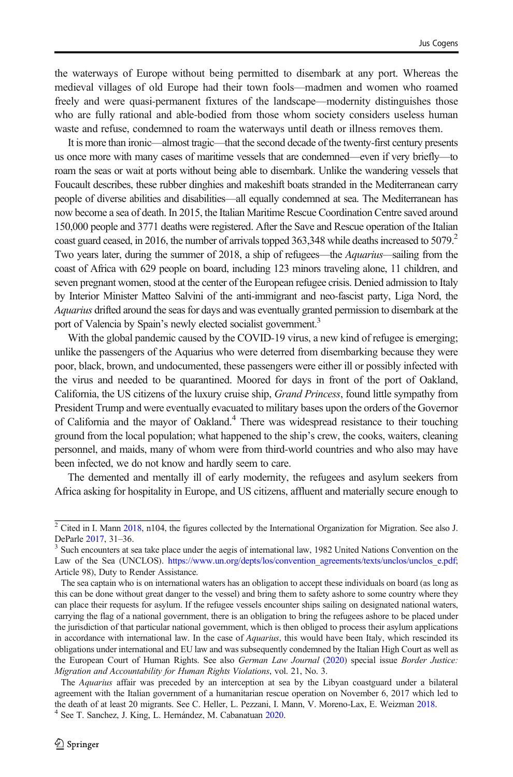the waterways of Europe without being permitted to disembark at any port. Whereas the medieval villages of old Europe had their town fools—madmen and women who roamed freely and were quasi-permanent fixtures of the landscape—modernity distinguishes those who are fully rational and able-bodied from those whom society considers useless human waste and refuse, condemned to roam the waterways until death or illness removes them.

It is more than ironic—almost tragic—that the second decade of the twenty-first century presents us once more with many cases of maritime vessels that are condemned—even if very briefly—to roam the seas or wait at ports without being able to disembark. Unlike the wandering vessels that Foucault describes, these rubber dinghies and makeshift boats stranded in the Mediterranean carry people of diverse abilities and disabilities—all equally condemned at sea. The Mediterranean has now become a sea of death. In 2015, the Italian Maritime Rescue Coordination Centre saved around 150,000 people and 3771 deaths were registered. After the Save and Rescue operation of the Italian coast guard ceased, in 2016, the number of arrivals topped 363,348 while deaths increased to 5079.<sup>2</sup> Two years later, during the summer of 2018, a ship of refugees—the Aquarius—sailing from the coast of Africa with 629 people on board, including 123 minors traveling alone, 11 children, and seven pregnant women, stood at the center of the European refugee crisis. Denied admission to Italy by Interior Minister Matteo Salvini of the anti-immigrant and neo-fascist party, Liga Nord, the Aquarius drifted around the seas for days and was eventually granted permission to disembark at the port of Valencia by Spain's newly elected socialist government.<sup>3</sup>

With the global pandemic caused by the COVID-19 virus, a new kind of refugee is emerging; unlike the passengers of the Aquarius who were deterred from disembarking because they were poor, black, brown, and undocumented, these passengers were either ill or possibly infected with the virus and needed to be quarantined. Moored for days in front of the port of Oakland, California, the US citizens of the luxury cruise ship, Grand Princess, found little sympathy from President Trump and were eventually evacuated to military bases upon the orders of the Governor of California and the mayor of Oakland.<sup>4</sup> There was widespread resistance to their touching ground from the local population; what happened to the ship's crew, the cooks, waiters, cleaning personnel, and maids, many of whom were from third-world countries and who also may have been infected, we do not know and hardly seem to care.

The demented and mentally ill of early modernity, the refugees and asylum seekers from Africa asking for hospitality in Europe, and US citizens, affluent and materially secure enough to

 $\frac{2}{2}$  Cited in I. Mann [2018](#page-23-0), n104, the figures collected by the International Organization for Migration. See also J. DeParle 2017, 31–36.

 $3$  Such encounters at sea take place under the aegis of international law, 1982 United Nations Convention on the Law of the Sea (UNCLOS). [https://www.un.org/depts/los/convention\\_agreements/texts/unclos/unclos\\_e.pdf](https://www.un.org/depts/los/convention_agreements/texts/unclos/unclos_e.pdf); Article 98), Duty to Render Assistance.

The sea captain who is on international waters has an obligation to accept these individuals on board (as long as this can be done without great danger to the vessel) and bring them to safety ashore to some country where they can place their requests for asylum. If the refugee vessels encounter ships sailing on designated national waters, carrying the flag of a national government, there is an obligation to bring the refugees ashore to be placed under the jurisdiction of that particular national government, which is then obliged to process their asylum applications in accordance with international law. In the case of *Aquarius*, this would have been Italy, which rescinded its obligations under international and EU law and was subsequently condemned by the Italian High Court as well as the European Court of Human Rights. See also German Law Journal [\(2020\)](#page-23-0) special issue Border Justice: Migration and Accountability for Human Rights Violations, vol. 21, No. 3.

The Aquarius affair was preceded by an interception at sea by the Libyan coastguard under a bilateral agreement with the Italian government of a humanitarian rescue operation on November 6, 2017 which led to the death of at least 20 migrants. See C. Heller, L. Pezzani, I. Mann, V. Moreno-Lax, E. Weizman [2018.](#page-23-0) <sup>4</sup> See T. Sanchez, J. King, L. Hernández, M. Cabanatuan [2020.](#page-22-0)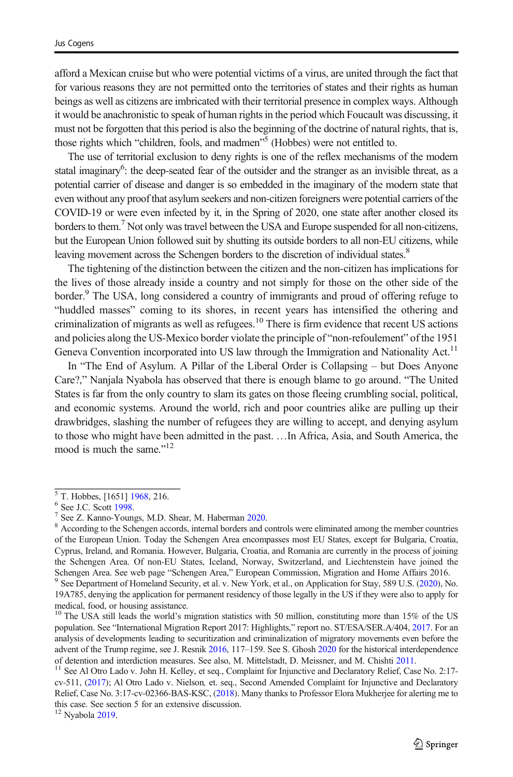afford a Mexican cruise but who were potential victims of a virus, are united through the fact that for various reasons they are not permitted onto the territories of states and their rights as human beings as well as citizens are imbricated with their territorial presence in complex ways. Although it would be anachronistic to speak of human rights in the period which Foucault was discussing, it must not be forgotten that this period is also the beginning of the doctrine of natural rights, that is, those rights which "children, fools, and madmen" <sup>5</sup> (Hobbes) were not entitled to.

The use of territorial exclusion to deny rights is one of the reflex mechanisms of the modern statal imaginary<sup>6</sup>: the deep-seated fear of the outsider and the stranger as an invisible threat, as a potential carrier of disease and danger is so embedded in the imaginary of the modern state that even without any proof that asylum seekers and non-citizen foreigners were potential carriers of the COVID-19 or were even infected by it, in the Spring of 2020, one state after another closed its borders to them.<sup>7</sup> Not only was travel between the USA and Europe suspended for all non-citizens, but the European Union followed suit by shutting its outside borders to all non-EU citizens, while leaving movement across the Schengen borders to the discretion of individual states.<sup>8</sup>

The tightening of the distinction between the citizen and the non-citizen has implications for the lives of those already inside a country and not simply for those on the other side of the border.<sup>9</sup> The USA, long considered a country of immigrants and proud of offering refuge to "huddled masses" coming to its shores, in recent years has intensified the othering and criminalization of migrants as well as refugees.<sup>10</sup> There is firm evidence that recent US actions and policies along the US-Mexico border violate the principle of "non-refoulement" of the 1951 Geneva Convention incorporated into US law through the Immigration and Nationality Act.<sup>11</sup>

In "The End of Asylum. A Pillar of the Liberal Order is Collapsing – but Does Anyone Care?," Nanjala Nyabola has observed that there is enough blame to go around. "The United States is far from the only country to slam its gates on those fleeing crumbling social, political, and economic systems. Around the world, rich and poor countries alike are pulling up their drawbridges, slashing the number of refugees they are willing to accept, and denying asylum to those who might have been admitted in the past. …In Africa, Asia, and South America, the mood is much the same."<sup>12</sup>

 $5$  T. Hobbes, [1651] [1968](#page-23-0), 216.<br>  $6$  See J.C. Scott [1998](#page-24-0).<br>  $7$  See Z. Kanno-Youngs, M.D. Shear, M. Haberman [2020](#page-23-0).<br>  $8$  According to the Schengen accords, internal borders and controls were eliminated among the member cou of the European Union. Today the Schengen Area encompasses most EU States, except for Bulgaria, Croatia, Cyprus, Ireland, and Romania. However, Bulgaria, Croatia, and Romania are currently in the process of joining the Schengen Area. Of non-EU States, Iceland, Norway, Switzerland, and Liechtenstein have joined the Schengen Area. See web page "Schengen Area," European Commission, Migration and Home Affairs 2016.<br><sup>9</sup> See Department of Homeland Security, et al. v. New York, et al., on Application for Stay, 589 U.S. [\(2020\)](#page-24-0), No.

<sup>19</sup>A785, denying the application for permanent residency of those legally in the US if they were also to apply for medical, food, or housing assistance.

<sup>&</sup>lt;sup>10</sup> The USA still leads the world's migration statistics with 50 million, constituting more than 15% of the US population. See "International Migration Report 2017: Highlights," report no. ST/ESA/SER.A/404, [2017.](#page-25-0) For an analysis of developments leading to securitization and criminalization of migratory movements even before the advent of the Trump regime, see J. Resnik [2016](#page-24-0), 117–159. See S. Ghosh [2020](#page-25-0) for the historical interdependence of detention and interdiction measures. See also, M. Mittelstadt, D. Meissner, and M. Chishti [2011](#page-23-0).<br><sup>11</sup> See Al Otro Lado v. John H. Kelley, et seq., Complaint for Injunctive and Declaratory Relief, Case No. 2:17-

cv-511, [\(2017](#page-24-0)); Al Otro Lado v. Nielson, et. seq., Second Amended Complaint for Injunctive and Declaratory Relief, Case No. 3:17-cv-02366-BAS-KSC, [\(2018\)](#page-24-0). Many thanks to Professor Elora Mukherjee for alerting me to this case. See section 5 for an extensive discussion.

 $12$  Nyabola [2019.](#page-23-0)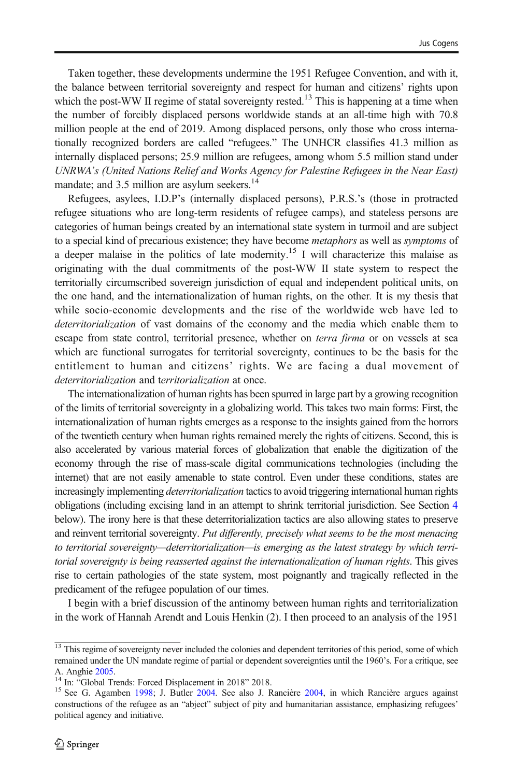Taken together, these developments undermine the 1951 Refugee Convention, and with it, the balance between territorial sovereignty and respect for human and citizens' rights upon which the post-WW II regime of statal sovereignty rested.<sup>13</sup> This is happening at a time when the number of forcibly displaced persons worldwide stands at an all-time high with 70.8 million people at the end of 2019. Among displaced persons, only those who cross internationally recognized borders are called "refugees." The UNHCR classifies 41.3 million as internally displaced persons; 25.9 million are refugees, among whom 5.5 million stand under UNRWA's (United Nations Relief and Works Agency for Palestine Refugees in the Near East) mandate; and  $3.5$  million are asylum seekers.<sup>14</sup>

Refugees, asylees, I.D.P's (internally displaced persons), P.R.S.'s (those in protracted refugee situations who are long-term residents of refugee camps), and stateless persons are categories of human beings created by an international state system in turmoil and are subject to a special kind of precarious existence; they have become *metaphors* as well as *symptoms* of a deeper malaise in the politics of late modernity.<sup>15</sup> I will characterize this malaise as originating with the dual commitments of the post-WW II state system to respect the territorially circumscribed sovereign jurisdiction of equal and independent political units, on the one hand, and the internationalization of human rights, on the other. It is my thesis that while socio-economic developments and the rise of the worldwide web have led to deterritorialization of vast domains of the economy and the media which enable them to escape from state control, territorial presence, whether on *terra firma* or on vessels at sea which are functional surrogates for territorial sovereignty, continues to be the basis for the entitlement to human and citizens' rights. We are facing a dual movement of deterritorialization and territorialization at once.

The internationalization of human rights has been spurred in large part by a growing recognition of the limits of territorial sovereignty in a globalizing world. This takes two main forms: First, the internationalization of human rights emerges as a response to the insights gained from the horrors of the twentieth century when human rights remained merely the rights of citizens. Second, this is also accelerated by various material forces of globalization that enable the digitization of the economy through the rise of mass-scale digital communications technologies (including the internet) that are not easily amenable to state control. Even under these conditions, states are increasingly implementing *deterritorialization* tactics to avoid triggering international human rights obligations (including excising land in an attempt to shrink territorial jurisdiction. See Section [4](#page-12-0) below). The irony here is that these deterritorialization tactics are also allowing states to preserve and reinvent territorial sovereignty. Put differently, precisely what seems to be the most menacing to territorial sovereignty—deterritorialization—is emerging as the latest strategy by which territorial sovereignty is being reasserted against the internationalization of human rights. This gives rise to certain pathologies of the state system, most poignantly and tragically reflected in the predicament of the refugee population of our times.

I begin with a brief discussion of the antinomy between human rights and territorialization in the work of Hannah Arendt and Louis Henkin (2). I then proceed to an analysis of the 1951

<sup>&</sup>lt;sup>13</sup> This regime of sovereignty never included the colonies and dependent territories of this period, some of which remained under the UN mandate regime of partial or dependent sovereignties until the 1960's. For a critique, see<br>A. Anghie 2005.<br><sup>14</sup> In: "Global Trandat Forced Digular sources". 2010, 2010

<sup>&</sup>lt;sup>14</sup> In: "Global Trends: Forced Displacement in 2018" 2018.<br><sup>15</sup> See G. Agamben [1998](#page-22-0); J. Butler [2004](#page-23-0). See also J. Rancière 2004, in which Rancière argues against constructions of the refugee as an "abject" subject of pity and humanitarian assistance, emphasizing refugees' political agency and initiative.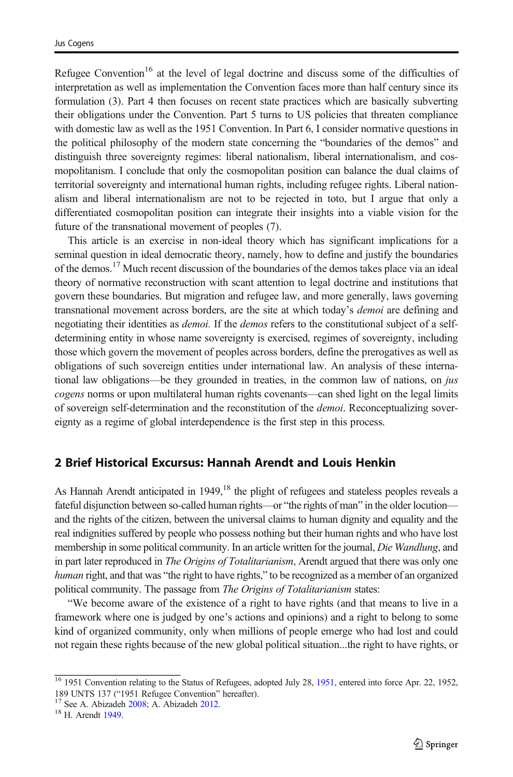<span id="page-4-0"></span>Refugee Convention<sup>16</sup> at the level of legal doctrine and discuss some of the difficulties of interpretation as well as implementation the Convention faces more than half century since its formulation (3). Part 4 then focuses on recent state practices which are basically subverting their obligations under the Convention. Part 5 turns to US policies that threaten compliance with domestic law as well as the 1951 Convention. In Part 6, I consider normative questions in the political philosophy of the modern state concerning the "boundaries of the demos" and distinguish three sovereignty regimes: liberal nationalism, liberal internationalism, and cosmopolitanism. I conclude that only the cosmopolitan position can balance the dual claims of territorial sovereignty and international human rights, including refugee rights. Liberal nationalism and liberal internationalism are not to be rejected in toto, but I argue that only a differentiated cosmopolitan position can integrate their insights into a viable vision for the future of the transnational movement of peoples (7).

This article is an exercise in non-ideal theory which has significant implications for a seminal question in ideal democratic theory, namely, how to define and justify the boundaries of the demos.<sup>17</sup> Much recent discussion of the boundaries of the demos takes place via an ideal theory of normative reconstruction with scant attention to legal doctrine and institutions that govern these boundaries. But migration and refugee law, and more generally, laws governing transnational movement across borders, are the site at which today's demoi are defining and negotiating their identities as *demoi*. If the *demos* refers to the constitutional subject of a selfdetermining entity in whose name sovereignty is exercised, regimes of sovereignty, including those which govern the movement of peoples across borders, define the prerogatives as well as obligations of such sovereign entities under international law. An analysis of these international law obligations—be they grounded in treaties, in the common law of nations, on *jus* cogens norms or upon multilateral human rights covenants—can shed light on the legal limits of sovereign self-determination and the reconstitution of the *demoi*. Reconceptualizing sovereignty as a regime of global interdependence is the first step in this process.

#### 2 Brief Historical Excursus: Hannah Arendt and Louis Henkin

As Hannah Arendt anticipated in  $1949$ ,<sup>18</sup> the plight of refugees and stateless peoples reveals a fateful disjunction between so-called human rights—or "the rights of man" in the older locution and the rights of the citizen, between the universal claims to human dignity and equality and the real indignities suffered by people who possess nothing but their human rights and who have lost membership in some political community. In an article written for the journal, Die Wandlung, and in part later reproduced in *The Origins of Totalitarianism*, Arendt argued that there was only one human right, and that was "the right to have rights," to be recognized as a member of an organized political community. The passage from The Origins of Totalitarianism states:

"We become aware of the existence of a right to have rights (and that means to live in a framework where one is judged by one's actions and opinions) and a right to belong to some kind of organized community, only when millions of people emerge who had lost and could not regain these rights because of the new global political situation...the right to have rights, or

<sup>&</sup>lt;sup>16</sup> 1951 Convention relating to the Status of Refugees, adopted July 28, [1951,](#page-25-0) entered into force Apr. 22, 1952, 189 UNTS 137 ("1951 Refugee Convention" hereafter).

<sup>&</sup>lt;sup>17</sup> See A. Abizadeh [2008;](#page-22-0) A. Abizadeh [2012](#page-22-0). <sup>18</sup> H. Arendt [1949.](#page-22-0)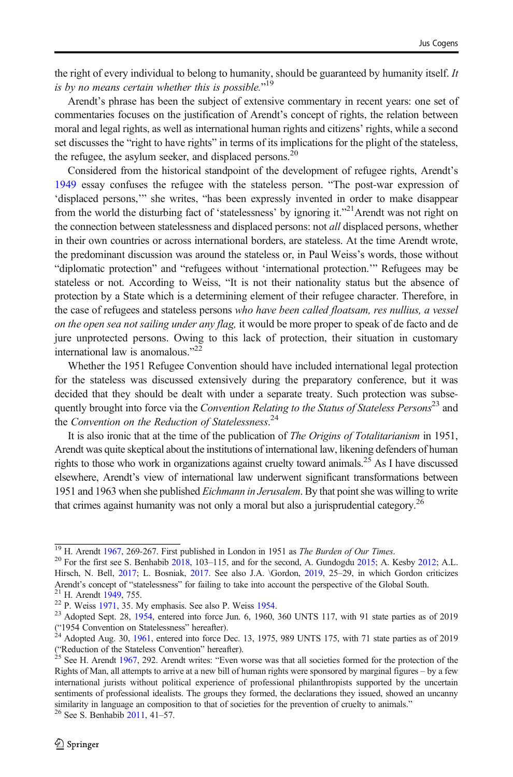the right of every individual to belong to humanity, should be guaranteed by humanity itself. It is by no means certain whether this is possible."<sup>19</sup>

Arendt's phrase has been the subject of extensive commentary in recent years: one set of commentaries focuses on the justification of Arendt's concept of rights, the relation between moral and legal rights, as well as international human rights and citizens' rights, while a second set discusses the "right to have rights" in terms of its implications for the plight of the stateless, the refugee, the asylum seeker, and displaced persons.<sup>20</sup>

Considered from the historical standpoint of the development of refugee rights, Arendt's [1949](#page-22-0) essay confuses the refugee with the stateless person. "The post-war expression of 'displaced persons,'" she writes, "has been expressly invented in order to make disappear from the world the disturbing fact of 'statelessness' by ignoring it."<sup>21</sup>Arendt was not right on the connection between statelessness and displaced persons: not all displaced persons, whether in their own countries or across international borders, are stateless. At the time Arendt wrote, the predominant discussion was around the stateless or, in Paul Weiss's words, those without "diplomatic protection" and "refugees without 'international protection.'" Refugees may be stateless or not. According to Weiss, "It is not their nationality status but the absence of protection by a State which is a determining element of their refugee character. Therefore, in the case of refugees and stateless persons who have been called floatsam, res nullius, a vessel on the open sea not sailing under any flag, it would be more proper to speak of de facto and de jure unprotected persons. Owing to this lack of protection, their situation in customary international law is anomalous."<sup>22</sup>

Whether the 1951 Refugee Convention should have included international legal protection for the stateless was discussed extensively during the preparatory conference, but it was decided that they should be dealt with under a separate treaty. Such protection was subsequently brought into force via the Convention Relating to the Status of Stateless Persons<sup>23</sup> and the Convention on the Reduction of Statelessness.<sup>24</sup>

It is also ironic that at the time of the publication of *The Origins of Totalitarianism* in 1951, Arendt was quite skeptical about the institutions of international law, likening defenders of human rights to those who work in organizations against cruelty toward animals.<sup>25</sup> As I have discussed elsewhere, Arendt's view of international law underwent significant transformations between 1951 and 1963 when she published Eichmann in Jerusalem. By that point she was willing to write that crimes against humanity was not only a moral but also a jurisprudential category.<sup>26</sup>

<sup>&</sup>lt;sup>19</sup> H. Arendt [1967,](#page-22-0) 269-267. First published in London in 1951 as *The Burden of Our Times*. <sup>20</sup> For the first see S. Benhabib [2018,](#page-22-0) 103–115, and for the second, A. Gundogdu [2015;](#page-23-0) A. Kesby [2012;](#page-23-0) A.L. Hirsch, N. Bell, [2017;](#page-23-0) L. Bosniak, [2017.](#page-22-0) See also J.A. \Gordon, [2019,](#page-23-0) 25–29, in which Gordon criticizes Arendt's concept of "statelessness" for failing to take into account the perspective of the Global South.

<sup>&</sup>lt;sup>21</sup> H. Arendt [1949,](#page-22-0) 755.<br><sup>22</sup> P. Weiss [1971](#page-24-0), 35. My emphasis. See also P. Weiss [1954.](#page-24-0)<br><sup>23</sup> Adopted Sept. 28, [1954,](#page-25-0) entered into force Jun. 6, 1960, 360 UNTS 117, with 91 state parties as of 2019 ("1954 Convention on Statelessness" hereafter). <sup>24</sup> Adopted Aug. 30, [1961,](#page-25-0) entered into force Dec. 13, 1975, 989 UNTS 175, with 71 state parties as of 2019

<sup>(&</sup>quot;Reduction of the Stateless Convention" hereafter).<br><sup>25</sup> See H. Arendt [1967,](#page-22-0) 292. Arendt writes: "Even worse was that all societies formed for the protection of the

Rights of Man, all attempts to arrive at a new bill of human rights were sponsored by marginal figures – by a few international jurists without political experience of professional philanthropists supported by the uncertain sentiments of professional idealists. The groups they formed, the declarations they issued, showed an uncanny similarity in language an composition to that of societies for the prevention of cruelty to animals." <sup>26</sup> See S. Benhabib [2011](#page-22-0), 41–57.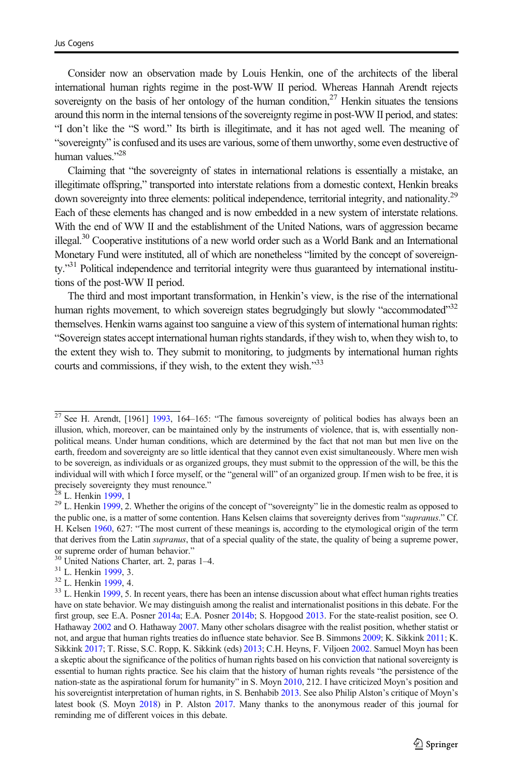Consider now an observation made by Louis Henkin, one of the architects of the liberal international human rights regime in the post-WW II period. Whereas Hannah Arendt rejects sovereignty on the basis of her ontology of the human condition,  $27$  Henkin situates the tensions around this norm in the internal tensions of the sovereignty regime in post-WW II period, and states: "I don't like the "S word." Its birth is illegitimate, and it has not aged well. The meaning of "sovereignty" is confused and its uses are various, some of them unworthy, some even destructive of human values."<sup>28</sup>

Claiming that "the sovereignty of states in international relations is essentially a mistake, an illegitimate offspring," transported into interstate relations from a domestic context, Henkin breaks down sovereignty into three elements: political independence, territorial integrity, and nationality.<sup>29</sup> Each of these elements has changed and is now embedded in a new system of interstate relations. With the end of WW II and the establishment of the United Nations, wars of aggression became illegal.<sup>30</sup> Cooperative institutions of a new world order such as a World Bank and an International Monetary Fund were instituted, all of which are nonetheless "limited by the concept of sovereignty."<sup>31</sup> Political independence and territorial integrity were thus guaranteed by international institutions of the post-WW II period.

The third and most important transformation, in Henkin's view, is the rise of the international human rights movement, to which sovereign states begrudgingly but slowly "accommodated"<sup>32</sup> themselves. Henkin warns against too sanguine a view of this system of international human rights: "Sovereign states accept international human rights standards, if they wish to, when they wish to, to the extent they wish to. They submit to monitoring, to judgments by international human rights courts and commissions, if they wish, to the extent they wish."<sup>33</sup>

 $\frac{27}{27}$  See H. Arendt, [1961] [1993](#page-22-0), 164–165: "The famous sovereignty of political bodies has always been an illusion, which, moreover, can be maintained only by the instruments of violence, that is, with essentially nonpolitical means. Under human conditions, which are determined by the fact that not man but men live on the earth, freedom and sovereignty are so little identical that they cannot even exist simultaneously. Where men wish to be sovereign, as individuals or as organized groups, they must submit to the oppression of the will, be this the individual will with which I force myself, or the "general will" of an organized group. If men wish to be free, it is precisely sovereignty they must renounce."

<sup>&</sup>lt;sup>28</sup> L. Henkin [1999](#page-23-0), 1 29 L. Whether the origins of the concept of "sovereignty" lie in the domestic realm as opposed to  $29$  L. Henkin 1999, 2. Whether the origins of the concept of "sovereignty" lie in the domestic real the public one, is a matter of some contention. Hans Kelsen claims that sovereignty derives from "supranus." Cf. H. Kelsen [1960,](#page-23-0) 627: "The most current of these meanings is, according to the etymological origin of the term that derives from the Latin *supranus*, that of a special quality of the state, the quality of being a supreme power, or supreme order of human behavior."<br><sup>30</sup> United Nations Charter, art. 2, paras 1–4.<br><sup>31</sup> L. Henkin [1999](#page-23-0), 3.<br><sup>32</sup> L. Henkin 1999, 4.<br><sup>33</sup> L. Henkin 1999, 5. In recent years, there has been an intense discussion about what

have on state behavior. We may distinguish among the realist and internationalist positions in this debate. For the first group, see E.A. Posner [2014a](#page-23-0); E.A. Posner [2014b;](#page-23-0) S. Hopgood [2013.](#page-23-0) For the state-realist position, see O. Hathaway [2002](#page-23-0) and O. Hathaway [2007.](#page-23-0) Many other scholars disagree with the realist position, whether statist or not, and argue that human rights treaties do influence state behavior. See B. Simmons [2009](#page-24-0); K. Sikkink [2011](#page-24-0); K. Sikkink [2017](#page-24-0); T. Risse, S.C. Ropp, K. Sikkink (eds) [2013](#page-24-0); C.H. Heyns, F. Viljoen [2002.](#page-23-0) Samuel Moyn has been a skeptic about the significance of the politics of human rights based on his conviction that national sovereignty is essential to human rights practice. See his claim that the history of human rights reveals "the persistence of the nation-state as the aspirational forum for humanity" in S. Moyn [2010,](#page-23-0) 212. I have criticized Moyn's position and his sovereigntist interpretation of human rights, in S. Benhabib [2013](#page-22-0). See also Philip Alston's critique of Moyn's latest book (S. Moyn [2018\)](#page-23-0) in P. Alston [2017.](#page-22-0) Many thanks to the anonymous reader of this journal for reminding me of different voices in this debate.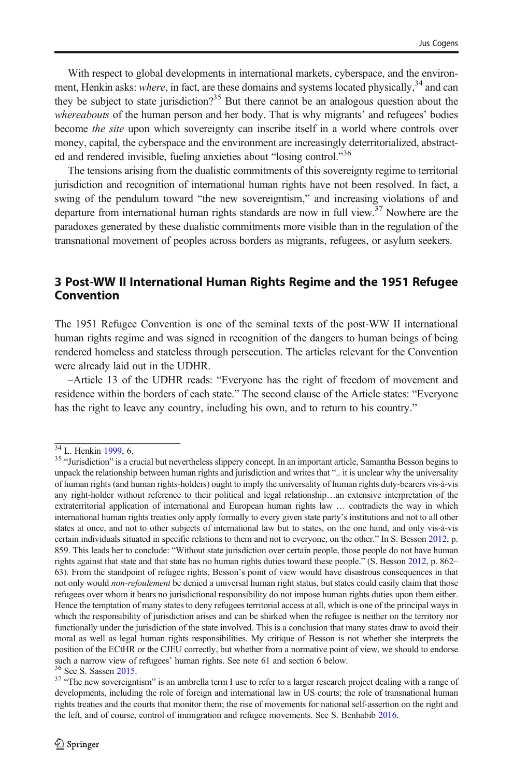With respect to global developments in international markets, cyberspace, and the environment, Henkin asks: *where*, in fact, are these domains and systems located physically,  $34$  and can they be subject to state jurisdiction?<sup>35</sup> But there cannot be an analogous question about the whereabouts of the human person and her body. That is why migrants' and refugees' bodies become the site upon which sovereignty can inscribe itself in a world where controls over money, capital, the cyberspace and the environment are increasingly deterritorialized, abstracted and rendered invisible, fueling anxieties about "losing control."36

The tensions arising from the dualistic commitments of this sovereignty regime to territorial jurisdiction and recognition of international human rights have not been resolved. In fact, a swing of the pendulum toward "the new sovereigntism," and increasing violations of and departure from international human rights standards are now in full view. $37$  Nowhere are the paradoxes generated by these dualistic commitments more visible than in the regulation of the transnational movement of peoples across borders as migrants, refugees, or asylum seekers.

### 3 Post-WW II International Human Rights Regime and the 1951 Refugee Convention

The 1951 Refugee Convention is one of the seminal texts of the post-WW II international human rights regime and was signed in recognition of the dangers to human beings of being rendered homeless and stateless through persecution. The articles relevant for the Convention were already laid out in the UDHR.

–Article 13 of the UDHR reads: "Everyone has the right of freedom of movement and residence within the borders of each state." The second clause of the Article states: "Everyone has the right to leave any country, including his own, and to return to his country."

 $\frac{34}{34}$  L. Henkin [1999](#page-23-0), 6.  $\frac{35}{35}$  "Jurisdiction" is a crucial but nevertheless slippery concept. In an important article, Samantha Besson begins to unpack the relationship between human rights and jurisdiction and writes that ".. it is unclear why the universality of human rights (and human rights-holders) ought to imply the universality of human rights duty-bearers vis-à-vis any right-holder without reference to their political and legal relationship…an extensive interpretation of the extraterritorial application of international and European human rights law … contradicts the way in which international human rights treaties only apply formally to every given state party's institutions and not to all other states at once, and not to other subjects of international law but to states, on the one hand, and only vis-à-vis certain individuals situated in specific relations to them and not to everyone, on the other." In S. Besson [2012,](#page-22-0) p. 859. This leads her to conclude: "Without state jurisdiction over certain people, those people do not have human rights against that state and that state has no human rights duties toward these people." (S. Besson [2012](#page-22-0), p. 862– 63). From the standpoint of refugee rights, Besson's point of view would have disastrous consequences in that not only would non-refoulement be denied a universal human right status, but states could easily claim that those refugees over whom it bears no jurisdictional responsibility do not impose human rights duties upon them either. Hence the temptation of many states to deny refugees territorial access at all, which is one of the principal ways in which the responsibility of jurisdiction arises and can be shirked when the refugee is neither on the territory nor functionally under the jurisdiction of the state involved. This is a conclusion that many states draw to avoid their moral as well as legal human rights responsibilities. My critique of Besson is not whether she interprets the position of the ECtHR or the CJEU correctly, but whether from a normative point of view, we should to endorse such a narrow view of refugees' human rights. See note 61 and section 6 below.<br><sup>36</sup> See S. Sassen [2015.](#page-24-0)<br><sup>37</sup> "The new sovereigntism" is an umbrella term I use to refer to a larger research project dealing with a range of

developments, including the role of foreign and international law in US courts; the role of transnational human rights treaties and the courts that monitor them; the rise of movements for national self-assertion on the right and the left, and of course, control of immigration and refugee movements. See S. Benhabib [2016.](#page-22-0)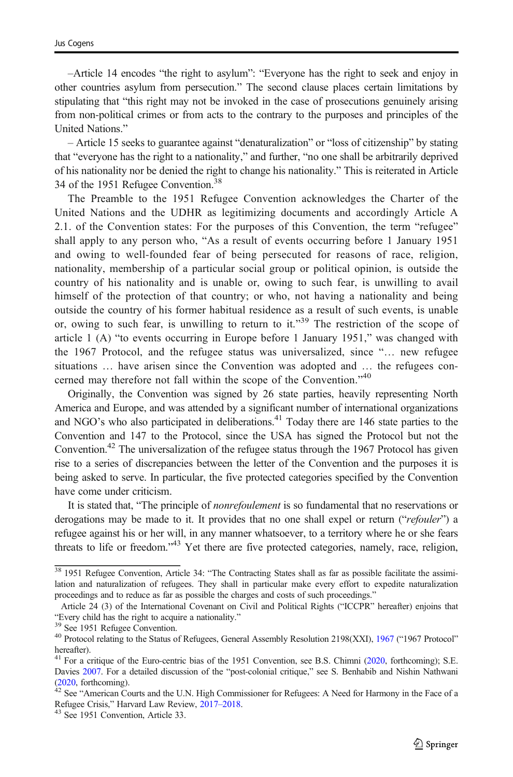–Article 14 encodes "the right to asylum": "Everyone has the right to seek and enjoy in other countries asylum from persecution." The second clause places certain limitations by stipulating that "this right may not be invoked in the case of prosecutions genuinely arising from non-political crimes or from acts to the contrary to the purposes and principles of the United Nations."

– Article 15 seeks to guarantee against "denaturalization" or "loss of citizenship" by stating that "everyone has the right to a nationality," and further, "no one shall be arbitrarily deprived of his nationality nor be denied the right to change his nationality." This is reiterated in Article 34 of the 1951 Refugee Convention.38

The Preamble to the 1951 Refugee Convention acknowledges the Charter of the United Nations and the UDHR as legitimizing documents and accordingly Article A 2.1. of the Convention states: For the purposes of this Convention, the term "refugee" shall apply to any person who, "As a result of events occurring before 1 January 1951 and owing to well-founded fear of being persecuted for reasons of race, religion, nationality, membership of a particular social group or political opinion, is outside the country of his nationality and is unable or, owing to such fear, is unwilling to avail himself of the protection of that country; or who, not having a nationality and being outside the country of his former habitual residence as a result of such events, is unable or, owing to such fear, is unwilling to return to it."<sup>39</sup> The restriction of the scope of article 1 (A) "to events occurring in Europe before 1 January 1951," was changed with the 1967 Protocol, and the refugee status was universalized, since "… new refugee situations … have arisen since the Convention was adopted and … the refugees concerned may therefore not fall within the scope of the Convention."<sup>40</sup>

Originally, the Convention was signed by 26 state parties, heavily representing North America and Europe, and was attended by a significant number of international organizations and NGO's who also participated in deliberations.<sup>41</sup> Today there are 146 state parties to the Convention and 147 to the Protocol, since the USA has signed the Protocol but not the Convention.42 The universalization of the refugee status through the 1967 Protocol has given rise to a series of discrepancies between the letter of the Convention and the purposes it is being asked to serve. In particular, the five protected categories specified by the Convention have come under criticism.

It is stated that, "The principle of *nonrefoulement* is so fundamental that no reservations or derogations may be made to it. It provides that no one shall expel or return ("refouler") a refugee against his or her will, in any manner whatsoever, to a territory where he or she fears threats to life or freedom."<sup>43</sup> Yet there are five protected categories, namely, race, religion,

<sup>&</sup>lt;sup>38</sup> 1951 Refugee Convention, Article 34: "The Contracting States shall as far as possible facilitate the assimilation and naturalization of refugees. They shall in particular make every effort to expedite naturalization proceedings and to reduce as far as possible the charges and costs of such proceedings."

Article 24 (3) of the International Covenant on Civil and Political Rights ("ICCPR" hereafter) enjoins that "Every child has the right to acquire a nationality."<br><sup>39</sup> See 1951 Refugee Convention.<br><sup>40</sup> Protocol relating to the Status of Refugees, General Assembly Resolution 2198(XXI), [1967](#page-25-0) ("1967 Protocol"

hereafter).

 $^{41}$  For a critique of the Euro-centric bias of the 1951 Convention, see B.S. Chimni [\(2020,](#page-22-0) forthcoming); S.E. Davies [2007](#page-22-0). For a detailed discussion of the "post-colonial critique," see S. Benhabib and Nishin Nathwani

[<sup>\(2020,</sup>](#page-22-0) forthcoming).<br> $42$  See "American Courts and the U.N. High Commissioner for Refugees: A Need for Harmony in the Face of a Refugee Crisis," Harvard Law Review, [2017](#page-22-0)–2018. <sup>43</sup> See 1951 Convention, Article 33.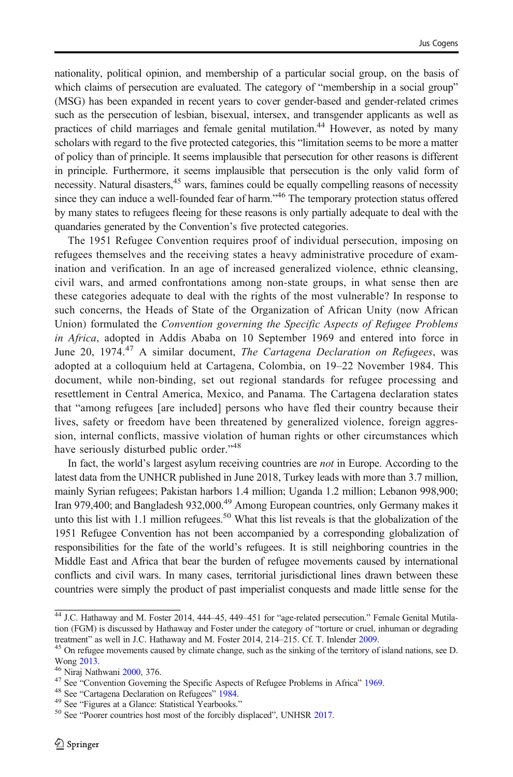nationality, political opinion, and membership of a particular social group, on the basis of which claims of persecution are evaluated. The category of "membership in a social group" (MSG) has been expanded in recent years to cover gender-based and gender-related crimes such as the persecution of lesbian, bisexual, intersex, and transgender applicants as well as practices of child marriages and female genital mutilation.<sup>44</sup> However, as noted by many scholars with regard to the five protected categories, this "limitation seems to be more a matter of policy than of principle. It seems implausible that persecution for other reasons is different in principle. Furthermore, it seems implausible that persecution is the only valid form of necessity. Natural disasters,<sup>45</sup> wars, famines could be equally compelling reasons of necessity since they can induce a well-founded fear of harm."<sup>46</sup> The temporary protection status offered by many states to refugees fleeing for these reasons is only partially adequate to deal with the quandaries generated by the Convention's five protected categories.

The 1951 Refugee Convention requires proof of individual persecution, imposing on refugees themselves and the receiving states a heavy administrative procedure of examination and verification. In an age of increased generalized violence, ethnic cleansing, civil wars, and armed confrontations among non-state groups, in what sense then are these categories adequate to deal with the rights of the most vulnerable? In response to such concerns, the Heads of State of the Organization of African Unity (now African Union) formulated the Convention governing the Specific Aspects of Refugee Problems in Africa, adopted in Addis Ababa on 10 September 1969 and entered into force in June 20, 1974.<sup>47</sup> A similar document, The Cartagena Declaration on Refugees, was adopted at a colloquium held at Cartagena, Colombia, on 19–22 November 1984. This document, while non-binding, set out regional standards for refugee processing and resettlement in Central America, Mexico, and Panama. The Cartagena declaration states that "among refugees [are included] persons who have fled their country because their lives, safety or freedom have been threatened by generalized violence, foreign aggression, internal conflicts, massive violation of human rights or other circumstances which have seriously disturbed public order."<sup>48</sup>

In fact, the world's largest asylum receiving countries are not in Europe. According to the latest data from the UNHCR published in June 2018, Turkey leads with more than 3.7 million, mainly Syrian refugees; Pakistan harbors 1.4 million; Uganda 1.2 million; Lebanon 998,900; Iran 979,400; and Bangladesh 932,000.<sup>49</sup> Among European countries, only Germany makes it unto this list with 1.1 million refugees.<sup>50</sup> What this list reveals is that the globalization of the 1951 Refugee Convention has not been accompanied by a corresponding globalization of responsibilities for the fate of the world's refugees. It is still neighboring countries in the Middle East and Africa that bear the burden of refugee movements caused by international conflicts and civil wars. In many cases, territorial jurisdictional lines drawn between these countries were simply the product of past imperialist conquests and made little sense for the

<sup>&</sup>lt;sup>44</sup> J.C. Hathaway and M. Foster 2014, 444-45, 449-451 for "age-related persecution." Female Genital Mutilation (FGM) is discussed by Hathaway and Foster under the category of "torture or cruel, inhuman or degrading

treatment" as well in J.C. Hathaway and M. Foster 2014, 214–215. Cf. T. Inlender [2009](#page-23-0).<br><sup>45</sup> On refugee movements caused by climate change, such as the sinking of the territory of island nations, see D.<br>Wong 2013.

<sup>&</sup>lt;sup>46</sup> Niraj Nathwani [2000,](#page-23-0) 376.<br><sup>47</sup> See "Convention Governing the Specific Aspects of Refugee Problems in Africa" [1969.](#page-24-0)<br><sup>48</sup> See "Cartagena Declaration on Refugees" [1984.](#page-24-0)<br><sup>49</sup> See "Figures at a Glance: Statistical Yearboo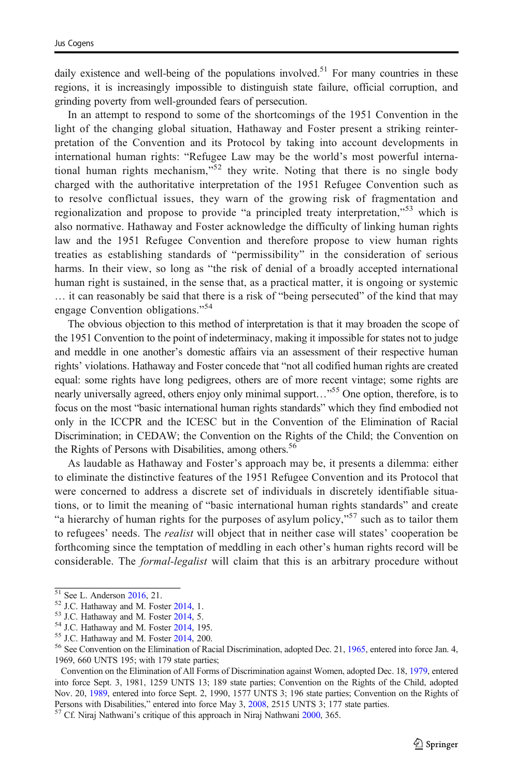daily existence and well-being of the populations involved.<sup>51</sup> For many countries in these regions, it is increasingly impossible to distinguish state failure, official corruption, and grinding poverty from well-grounded fears of persecution.

In an attempt to respond to some of the shortcomings of the 1951 Convention in the light of the changing global situation, Hathaway and Foster present a striking reinterpretation of the Convention and its Protocol by taking into account developments in international human rights: "Refugee Law may be the world's most powerful international human rights mechanism,"<sup>52</sup> they write. Noting that there is no single body charged with the authoritative interpretation of the 1951 Refugee Convention such as to resolve conflictual issues, they warn of the growing risk of fragmentation and regionalization and propose to provide "a principled treaty interpretation,"<sup>53</sup> which is also normative. Hathaway and Foster acknowledge the difficulty of linking human rights law and the 1951 Refugee Convention and therefore propose to view human rights treaties as establishing standards of "permissibility" in the consideration of serious harms. In their view, so long as "the risk of denial of a broadly accepted international human right is sustained, in the sense that, as a practical matter, it is ongoing or systemic … it can reasonably be said that there is a risk of "being persecuted" of the kind that may engage Convention obligations."<sup>54</sup>

The obvious objection to this method of interpretation is that it may broaden the scope of the 1951 Convention to the point of indeterminacy, making it impossible for states not to judge and meddle in one another's domestic affairs via an assessment of their respective human rights' violations. Hathaway and Foster concede that "not all codified human rights are created equal: some rights have long pedigrees, others are of more recent vintage; some rights are nearly universally agreed, others enjoy only minimal support..."<sup>55</sup> One option, therefore, is to focus on the most "basic international human rights standards" which they find embodied not only in the ICCPR and the ICESC but in the Convention of the Elimination of Racial Discrimination; in CEDAW; the Convention on the Rights of the Child; the Convention on the Rights of Persons with Disabilities, among others.<sup>56</sup>

As laudable as Hathaway and Foster's approach may be, it presents a dilemma: either to eliminate the distinctive features of the 1951 Refugee Convention and its Protocol that were concerned to address a discrete set of individuals in discretely identifiable situations, or to limit the meaning of "basic international human rights standards" and create "a hierarchy of human rights for the purposes of asylum policy,"<sup>57</sup> such as to tailor them to refugees' needs. The *realist* will object that in neither case will states' cooperation be forthcoming since the temptation of meddling in each other's human rights record will be considerable. The *formal-legalist* will claim that this is an arbitrary procedure without

<sup>&</sup>lt;sup>51</sup> See L. Anderson [2016](#page-22-0), 21.<br>
<sup>52</sup> J.C. Hathaway and M. Foster [2014](#page-23-0), 1.<br>
<sup>53</sup> J.C. Hathaway and M. Foster 2014, 5.<br>
<sup>54</sup> J.C. Hathaway and M. Foster 2014, 195.<br>
<sup>55</sup> J.C. Hathaway and M. Foster 2014, 200.<br>
<sup>56</sup> See Conv 1969, 660 UNTS 195; with 179 state parties;

Convention on the Elimination of All Forms of Discrimination against Women, adopted Dec. 18, [1979](#page-24-0), entered into force Sept. 3, 1981, 1259 UNTS 13; 189 state parties; Convention on the Rights of the Child, adopted Nov. 20, [1989](#page-25-0), entered into force Sept. 2, 1990, 1577 UNTS 3; 196 state parties; Convention on the Rights of Persons with Disabilities," entered into force May 3, [2008](#page-25-0), 2515 UNTS 3; 177 state parties. <sup>57</sup> Cf. Niraj Nathwani's critique of this approach in Niraj Nathwani [2000,](#page-23-0) 365.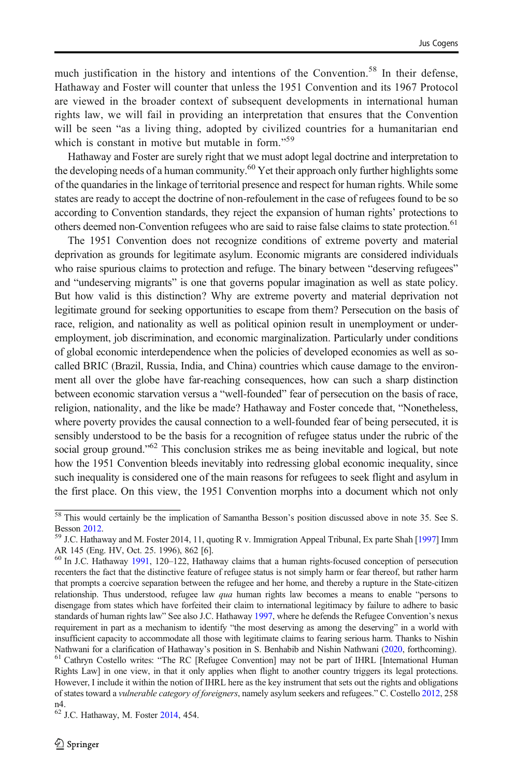much justification in the history and intentions of the Convention.<sup>58</sup> In their defense, Hathaway and Foster will counter that unless the 1951 Convention and its 1967 Protocol are viewed in the broader context of subsequent developments in international human rights law, we will fail in providing an interpretation that ensures that the Convention will be seen "as a living thing, adopted by civilized countries for a humanitarian end which is constant in motive but mutable in form."<sup>59</sup>

Hathaway and Foster are surely right that we must adopt legal doctrine and interpretation to the developing needs of a human community.<sup>60</sup> Yet their approach only further highlights some of the quandaries in the linkage of territorial presence and respect for human rights. While some states are ready to accept the doctrine of non-refoulement in the case of refugees found to be so according to Convention standards, they reject the expansion of human rights' protections to others deemed non-Convention refugees who are said to raise false claims to state protection.<sup>61</sup>

The 1951 Convention does not recognize conditions of extreme poverty and material deprivation as grounds for legitimate asylum. Economic migrants are considered individuals who raise spurious claims to protection and refuge. The binary between "deserving refugees" and "undeserving migrants" is one that governs popular imagination as well as state policy. But how valid is this distinction? Why are extreme poverty and material deprivation not legitimate ground for seeking opportunities to escape from them? Persecution on the basis of race, religion, and nationality as well as political opinion result in unemployment or underemployment, job discrimination, and economic marginalization. Particularly under conditions of global economic interdependence when the policies of developed economies as well as socalled BRIC (Brazil, Russia, India, and China) countries which cause damage to the environment all over the globe have far-reaching consequences, how can such a sharp distinction between economic starvation versus a "well-founded" fear of persecution on the basis of race, religion, nationality, and the like be made? Hathaway and Foster concede that, "Nonetheless, where poverty provides the causal connection to a well-founded fear of being persecuted, it is sensibly understood to be the basis for a recognition of refugee status under the rubric of the social group ground."<sup>62</sup> This conclusion strikes me as being inevitable and logical, but note how the 1951 Convention bleeds inevitably into redressing global economic inequality, since such inequality is considered one of the main reasons for refugees to seek flight and asylum in the first place. On this view, the 1951 Convention morphs into a document which not only

<sup>&</sup>lt;sup>58</sup> This would certainly be the implication of Samantha Besson's position discussed above in note 35. See S.

Besson [2012.](#page-22-0)<br><sup>59</sup> J.C. Hathaway and M. Foster 2014, 11, quoting R v. Immigration Appeal Tribunal, Ex parte Shah [\[1997\]](#page-24-0) Imm AR 145 (Eng. HV, Oct. 25. 1996), 862 [6].

<sup>60</sup> In J.C. Hathaway [1991](#page-23-0), 120–122, Hathaway claims that a human rights-focused conception of persecution recenters the fact that the distinctive feature of refugee status is not simply harm or fear thereof, but rather harm that prompts a coercive separation between the refugee and her home, and thereby a rupture in the State-citizen relationship. Thus understood, refugee law qua human rights law becomes a means to enable "persons to disengage from states which have forfeited their claim to international legitimacy by failure to adhere to basic standards of human rights law" See also J.C. Hathaway [1997,](#page-23-0) where he defends the Refugee Convention's nexus requirement in part as a mechanism to identify "the most deserving as among the deserving" in a world with insufficient capacity to accommodate all those with legitimate claims to fearing serious harm. Thanks to Nishin Nathwani for a clarification of Hathaway's position in S. Benhabib and Nishin Nathwani [\(2020,](#page-22-0) forthcoming). <sup>61</sup> Cathryn Costello writes: "The RC [Refugee Convention] may not be part of IHRL [International Human

Rights Law] in one view, in that it only applies when flight to another country triggers its legal protections. However, I include it within the notion of IHRL here as the key instrument that sets out the rights and obligations of states toward a vulnerable category of foreigners, namely asylum seekers and refugees." C. Costello [2012](#page-22-0), 258 n4.

<sup>62</sup> J.C. Hathaway, M. Foster [2014,](#page-23-0) 454.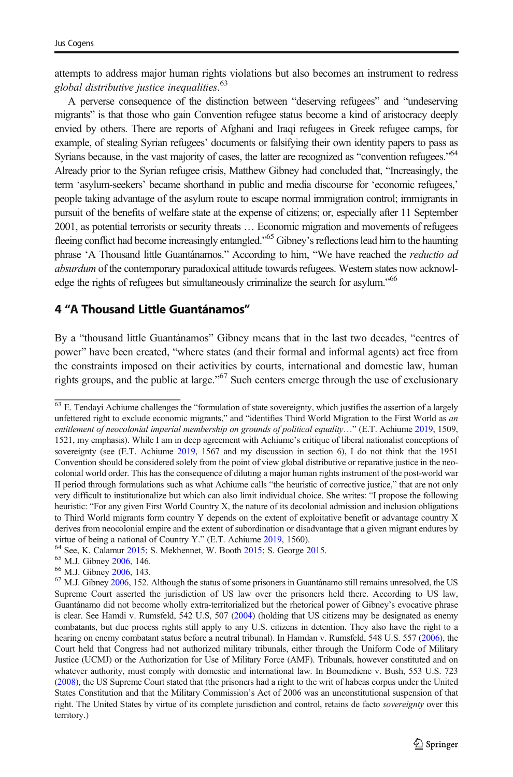<span id="page-12-0"></span>attempts to address major human rights violations but also becomes an instrument to redress global distributive justice inequalities. 63

A perverse consequence of the distinction between "deserving refugees" and "undeserving migrants" is that those who gain Convention refugee status become a kind of aristocracy deeply envied by others. There are reports of Afghani and Iraqi refugees in Greek refugee camps, for example, of stealing Syrian refugees' documents or falsifying their own identity papers to pass as Syrians because, in the vast majority of cases, the latter are recognized as "convention refugees."<sup>64</sup> Already prior to the Syrian refugee crisis, Matthew Gibney had concluded that, "Increasingly, the term 'asylum-seekers' became shorthand in public and media discourse for 'economic refugees,' people taking advantage of the asylum route to escape normal immigration control; immigrants in pursuit of the benefits of welfare state at the expense of citizens; or, especially after 11 September 2001, as potential terrorists or security threats … Economic migration and movements of refugees fleeing conflict had become increasingly entangled."<sup>65</sup> Gibney's reflections lead him to the haunting phrase 'A Thousand little Guantánamos." According to him, "We have reached the *reductio ad* absurdum of the contemporary paradoxical attitude towards refugees. Western states now acknowledge the rights of refugees but simultaneously criminalize the search for asylum."<sup>66</sup>

#### 4 "A Thousand Little Guantánamos"

By a "thousand little Guantánamos" Gibney means that in the last two decades, "centres of power" have been created, "where states (and their formal and informal agents) act free from the constraints imposed on their activities by courts, international and domestic law, human rights groups, and the public at large."<sup>67</sup> Such centers emerge through the use of exclusionary

- 
- 

 $63$  E. Tendavi Achiume challenges the "formulation of state sovereignty, which justifies the assertion of a largely unfettered right to exclude economic migrants," and "identifies Third World Migration to the First World as an entitlement of neocolonial imperial membership on grounds of political equality..." (E.T. Achiume [2019](#page-22-0), 1509, 1521, my emphasis). While I am in deep agreement with Achiume's critique of liberal nationalist conceptions of sovereignty (see (E.T. Achiume [2019](#page-22-0), 1567 and my discussion in section 6), I do not think that the 1951 Convention should be considered solely from the point of view global distributive or reparative justice in the neocolonial world order. This has the consequence of diluting a major human rights instrument of the post-world war II period through formulations such as what Achiume calls "the heuristic of corrective justice," that are not only very difficult to institutionalize but which can also limit individual choice. She writes: "I propose the following heuristic: "For any given First World Country X, the nature of its decolonial admission and inclusion obligations to Third World migrants form country Y depends on the extent of exploitative benefit or advantage country X derives from neocolonial empire and the extent of subordination or disadvantage that a given migrant endures by

virtue of being a national of Country Y." (E.T. Achiume [2019](#page-22-0), 1560).<br>  $^{64}$  See, K. Calamur [2015](#page-22-0); S. Mekhennet, W. Booth [2015;](#page-23-0) S. George 2015.<br>  $^{65}$  M.J. Gibney [2006,](#page-23-0) 146.<br>  $^{66}$  M.J. Gibney [2006](#page-23-0), 143.<br>  $^{67}$  M.J. Gi Supreme Court asserted the jurisdiction of US law over the prisoners held there. According to US law, Guantánamo did not become wholly extra-territorialized but the rhetorical power of Gibney's evocative phrase is clear. See Hamdi v. Rumsfeld, 542 U.S, 507 ([2004](#page-24-0)) (holding that US citizens may be designated as enemy combatants, but due process rights still apply to any U.S. citizens in detention. They also have the right to a hearing on enemy combatant status before a neutral tribunal). In Hamdan v. Rumsfeld, 548 U.S. 557 [\(2006\)](#page-24-0), the Court held that Congress had not authorized military tribunals, either through the Uniform Code of Military Justice (UCMJ) or the Authorization for Use of Military Force (AMF). Tribunals, however constituted and on whatever authority, must comply with domestic and international law. In Boumediene v. Bush, 553 U.S. 723 [\(2008\)](#page-24-0), the US Supreme Court stated that (the prisoners had a right to the writ of habeas corpus under the United States Constitution and that the Military Commission's Act of 2006 was an unconstitutional suspension of that right. The United States by virtue of its complete jurisdiction and control, retains de facto sovereignty over this territory.)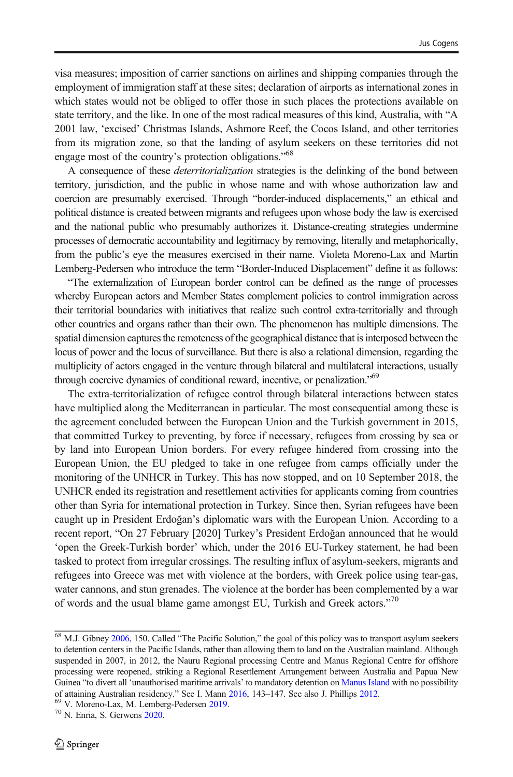visa measures; imposition of carrier sanctions on airlines and shipping companies through the employment of immigration staff at these sites; declaration of airports as international zones in which states would not be obliged to offer those in such places the protections available on state territory, and the like. In one of the most radical measures of this kind, Australia, with "A 2001 law, 'excised' Christmas Islands, Ashmore Reef, the Cocos Island, and other territories from its migration zone, so that the landing of asylum seekers on these territories did not engage most of the country's protection obligations."<sup>68</sup>

A consequence of these *deterritorialization* strategies is the delinking of the bond between territory, jurisdiction, and the public in whose name and with whose authorization law and coercion are presumably exercised. Through "border-induced displacements," an ethical and political distance is created between migrants and refugees upon whose body the law is exercised and the national public who presumably authorizes it. Distance-creating strategies undermine processes of democratic accountability and legitimacy by removing, literally and metaphorically, from the public's eye the measures exercised in their name. Violeta Moreno-Lax and Martin Lemberg-Pedersen who introduce the term "Border-Induced Displacement" define it as follows:

"The externalization of European border control can be defined as the range of processes whereby European actors and Member States complement policies to control immigration across their territorial boundaries with initiatives that realize such control extra-territorially and through other countries and organs rather than their own. The phenomenon has multiple dimensions. The spatial dimension captures the remoteness of the geographical distance that is interposed between the locus of power and the locus of surveillance. But there is also a relational dimension, regarding the multiplicity of actors engaged in the venture through bilateral and multilateral interactions, usually through coercive dynamics of conditional reward, incentive, or penalization."<sup>69</sup>

The extra-territorialization of refugee control through bilateral interactions between states have multiplied along the Mediterranean in particular. The most consequential among these is the agreement concluded between the European Union and the Turkish government in 2015, that committed Turkey to preventing, by force if necessary, refugees from crossing by sea or by land into European Union borders. For every refugee hindered from crossing into the European Union, the EU pledged to take in one refugee from camps officially under the monitoring of the UNHCR in Turkey. This has now stopped, and on 10 September 2018, the UNHCR ended its registration and resettlement activities for applicants coming from countries other than Syria for international protection in Turkey. Since then, Syrian refugees have been caught up in President Erdoğan's diplomatic wars with the European Union. According to a recent report, "On 27 February [2020] Turkey's President Erdoğan announced that he would 'open the Greek-Turkish border' which, under the 2016 EU-Turkey statement, he had been tasked to protect from irregular crossings. The resulting influx of asylum-seekers, migrants and refugees into Greece was met with violence at the borders, with Greek police using tear-gas, water cannons, and stun grenades. The violence at the border has been complemented by a war of words and the usual blame game amongst EU, Turkish and Greek actors."<sup>70</sup>

 $\frac{68 \text{ M.J.}}{68 \text{ M.J.}}$  Gibney [2006,](#page-23-0) 150. Called "The Pacific Solution," the goal of this policy was to transport asylum seekers to detention centers in the Pacific Islands, rather than allowing them to land on the Australian mainland. Although suspended in 2007, in 2012, the Nauru Regional processing Centre and Manus Regional Centre for offshore processing were reopened, striking a Regional Resettlement Arrangement between Australia and Papua New Guinea "to divert all 'unauthorised maritime arrivals' to mandatory detention on [Manus Island](https://en.wikipedia.org/wiki/Manus_Island) with no possibility of attaining Australian residency." See I. Mann [2016,](#page-23-0) 143–147. See also J. Phillips [2012.](#page-23-0)<br><sup>69</sup> V. Moreno-Lax, M. Lemberg-Pedersen [2019.](#page-23-0)<br><sup>70</sup> N. Enria, S. Gerwens [2020](#page-22-0).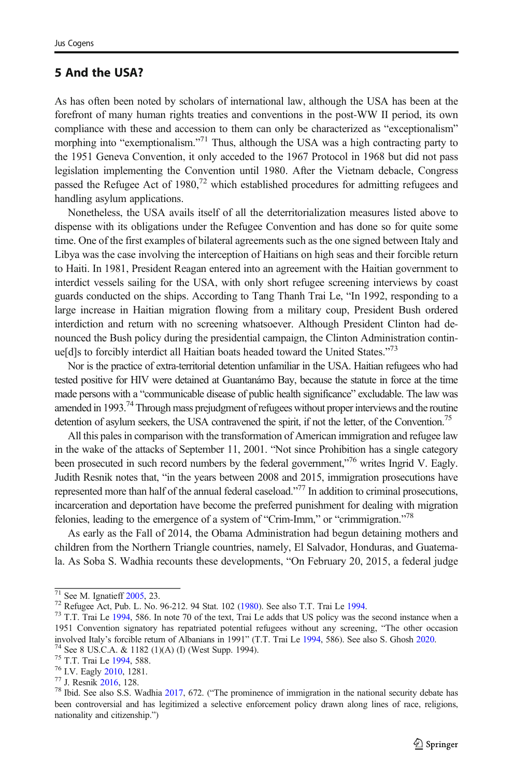### 5 And the USA?

As has often been noted by scholars of international law, although the USA has been at the forefront of many human rights treaties and conventions in the post-WW II period, its own compliance with these and accession to them can only be characterized as "exceptionalism" morphing into "exemptionalism."<sup>71</sup> Thus, although the USA was a high contracting party to the 1951 Geneva Convention, it only acceded to the 1967 Protocol in 1968 but did not pass legislation implementing the Convention until 1980. After the Vietnam debacle, Congress passed the Refugee Act of 1980,<sup>72</sup> which established procedures for admitting refugees and handling asylum applications.

Nonetheless, the USA avails itself of all the deterritorialization measures listed above to dispense with its obligations under the Refugee Convention and has done so for quite some time. One of the first examples of bilateral agreements such as the one signed between Italy and Libya was the case involving the interception of Haitians on high seas and their forcible return to Haiti. In 1981, President Reagan entered into an agreement with the Haitian government to interdict vessels sailing for the USA, with only short refugee screening interviews by coast guards conducted on the ships. According to Tang Thanh Trai Le, "In 1992, responding to a large increase in Haitian migration flowing from a military coup, President Bush ordered interdiction and return with no screening whatsoever. Although President Clinton had denounced the Bush policy during the presidential campaign, the Clinton Administration continue[d]s to forcibly interdict all Haitian boats headed toward the United States."<sup>73</sup>

Nor is the practice of extra-territorial detention unfamiliar in the USA. Haitian refugees who had tested positive for HIV were detained at Guantanámo Bay, because the statute in force at the time made persons with a "communicable disease of public health significance" excludable. The law was amended in 1993.<sup>74</sup> Through mass prejudgment of refugees without proper interviews and the routine detention of asylum seekers, the USA contravened the spirit, if not the letter, of the Convention.<sup>75</sup>

All this pales in comparison with the transformation of American immigration and refugee law in the wake of the attacks of September 11, 2001. "Not since Prohibition has a single category been prosecuted in such record numbers by the federal government,"<sup>76</sup> writes Ingrid V. Eagly. Judith Resnik notes that, "in the years between 2008 and 2015, immigration prosecutions have represented more than half of the annual federal caseload."<sup>77</sup> In addition to criminal prosecutions, incarceration and deportation have become the preferred punishment for dealing with migration felonies, leading to the emergence of a system of "Crim-Imm," or "crimmigration."<sup>78</sup>

As early as the Fall of 2014, the Obama Administration had begun detaining mothers and children from the Northern Triangle countries, namely, El Salvador, Honduras, and Guatemala. As Soba S. Wadhia recounts these developments, "On February 20, 2015, a federal judge

<sup>&</sup>lt;sup>71</sup> See M. Ignatieff [2005](#page-23-0), 23. **72** Refugee Act, Pub. L. No. 96-212. 94 Stat. 102 [\(1980](#page-25-0)). See also T.T. Trai Le [1994.](#page-24-0) <sup>73</sup> T.T. Trai Le [1994,](#page-24-0) 586. In note 70 of the text, Trai Le adds that US policy was the second instan 1951 Convention signatory has repatriated potential refugees without any screening, "The other occasion involved Italy's forcible return of Albanians in 1991" (T.T. Trai Le [1994,](#page-24-0) 586). See also S. Ghosh [2020](#page-25-0).<br><sup>74</sup> See 8 US.C.A. & 1182 (1)(A) (I) (West Supp. [1994](#page-24-0)).<br><sup>75</sup> T.T. Trai Le 1994, 588.<br><sup>76</sup> I.V. Eagly [2010,](#page-22-0) 1281.<br><sup>77</sup>

been controversial and has legitimized a selective enforcement policy drawn along lines of race, religions, nationality and citizenship.")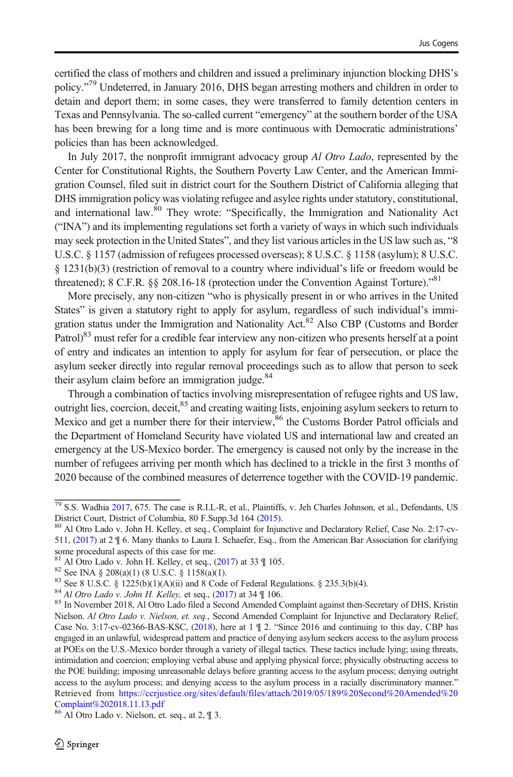certified the class of mothers and children and issued a preliminary injunction blocking DHS's policy." <sup>79</sup> Undeterred, in January 2016, DHS began arresting mothers and children in order to detain and deport them; in some cases, they were transferred to family detention centers in Texas and Pennsylvania. The so-called current "emergency" at the southern border of the USA has been brewing for a long time and is more continuous with Democratic administrations' policies than has been acknowledged.

In July 2017, the nonprofit immigrant advocacy group Al Otro Lado, represented by the Center for Constitutional Rights, the Southern Poverty Law Center, and the American Immigration Counsel, filed suit in district court for the Southern District of California alleging that DHS immigration policy was violating refugee and asylee rights under statutory, constitutional, and international law.<sup>80</sup> They wrote: "Specifically, the Immigration and Nationality Act ("INA") and its implementing regulations set forth a variety of ways in which such individuals may seek protection in the United States", and they list various articles in the US law such as, "8 U.S.C. § 1157 (admission of refugees processed overseas); 8 U.S.C. § 1158 (asylum); 8 U.S.C. § 1231(b)(3) (restriction of removal to a country where individual's life or freedom would be threatened); 8 C.F.R. §§ 208.16-18 (protection under the Convention Against Torture)."<sup>81</sup>

More precisely, any non-citizen "who is physically present in or who arrives in the United States" is given a statutory right to apply for asylum, regardless of such individual's immigration status under the Immigration and Nationality Act.<sup>82</sup> Also CBP (Customs and Border Patrol)<sup>83</sup> must refer for a credible fear interview any non-citizen who presents herself at a point of entry and indicates an intention to apply for asylum for fear of persecution, or place the asylum seeker directly into regular removal proceedings such as to allow that person to seek their asylum claim before an immigration judge.<sup>84</sup>

Through a combination of tactics involving misrepresentation of refugee rights and US law, outright lies, coercion, deceit,<sup>85</sup> and creating waiting lists, enjoining asylum seekers to return to Mexico and get a number there for their interview,<sup>86</sup> the Customs Border Patrol officials and the Department of Homeland Security have violated US and international law and created an emergency at the US-Mexico border. The emergency is caused not only by the increase in the number of refugees arriving per month which has declined to a trickle in the first 3 months of 2020 because of the combined measures of deterrence together with the COVID-19 pandemic.

 $\frac{79}{79}$  S.S. Wadhia [2017](#page-24-0), 675. The case is R.I.L-R, et al., Plaintiffs, v. Jeh Charles Johnson, et al., Defendants, US District Court, District of Columbia, 80 F.Supp.3d 164 (2015).

<sup>&</sup>lt;sup>80</sup> Al Otro Lado v. John H. Kelley, et seq., Complaint for Injunctive and Declaratory Relief, Case No. 2:17-cv-511, [\(2017\)](#page-24-0) at 2 ¶ 6. Many thanks to Laura I. Schaefer, Esq., from the American Bar Association for clarifying some procedural aspects of this case for me.<br> $81$  Al Otro Lado v. John H. Kelley, et seq., (2017) at 33  $\parallel$  105.

<sup>&</sup>lt;sup>82</sup> See INA § 208(a)(1) (8 U.S.C. § 1158(a)(1).<br><sup>83</sup> See 8 U.S.C. § 1225(b)(1)(A)(ii) and 8 Code of Federal Regulations. § 235.3(b)(4).<br><sup>84</sup> Al Otro Lado v. John H. Kelley, et seq., ([2017](#page-24-0)) at 34 ¶ 106.<br><sup>85</sup> In November 2 Nielson. Al Otro Lado v. Nielson, et. seq., Second Amended Complaint for Injunctive and Declaratory Relief, Case No. 3:17-cv-02366-BAS-KSC, [\(2018\)](#page-24-0), here at 1 ¶ 2. "Since 2016 and continuing to this day, CBP has engaged in an unlawful, widespread pattern and practice of denying asylum seekers access to the asylum process at POEs on the U.S.-Mexico border through a variety of illegal tactics. These tactics include lying; using threats, intimidation and coercion; employing verbal abuse and applying physical force; physically obstructing access to the POE building; imposing unreasonable delays before granting access to the asylum process; denying outright access to the asylum process; and denying access to the asylum process in a racially discriminatory manner." Retrieved from [https://ccrjustice.org/sites/default/files/attach/2019/05/189%20Second%20Amended%20](https://ccrjustice.org/sites/default/files/attach/2019/05/189%20Second%20Amended%20Complaint%202018.11.13.pdf) [Complaint%202018.11.13.pdf](https://ccrjustice.org/sites/default/files/attach/2019/05/189%20Second%20Amended%20Complaint%202018.11.13.pdf)

<sup>86</sup> Al Otro Lado v. Nielson, et. seq., at 2, ¶ 3.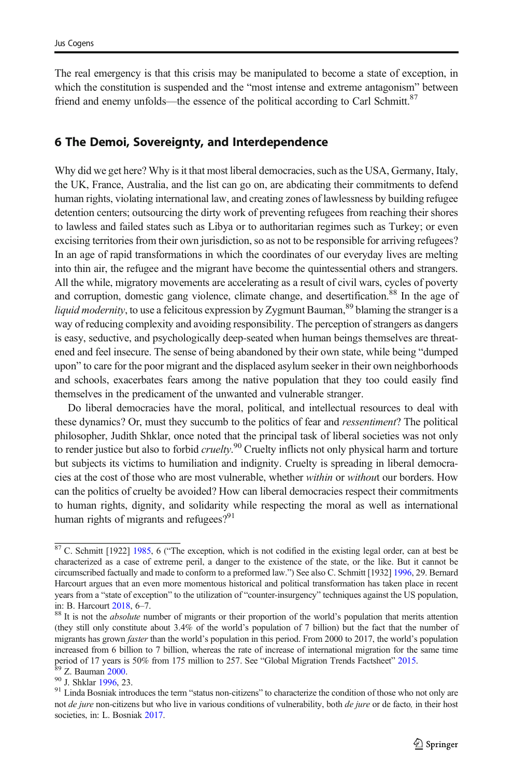The real emergency is that this crisis may be manipulated to become a state of exception, in which the constitution is suspended and the "most intense and extreme antagonism" between friend and enemy unfolds—the essence of the political according to Carl Schmitt.<sup>87</sup>

#### 6 The Demoi, Sovereignty, and Interdependence

Why did we get here? Why is it that most liberal democracies, such as the USA, Germany, Italy, the UK, France, Australia, and the list can go on, are abdicating their commitments to defend human rights, violating international law, and creating zones of lawlessness by building refugee detention centers; outsourcing the dirty work of preventing refugees from reaching their shores to lawless and failed states such as Libya or to authoritarian regimes such as Turkey; or even excising territories from their own jurisdiction, so as not to be responsible for arriving refugees? In an age of rapid transformations in which the coordinates of our everyday lives are melting into thin air, the refugee and the migrant have become the quintessential others and strangers. All the while, migratory movements are accelerating as a result of civil wars, cycles of poverty and corruption, domestic gang violence, climate change, and desertification.<sup>88</sup> In the age of *liquid modernity*, to use a felicitous expression by Zygmunt Bauman,  $89$  blaming the stranger is a way of reducing complexity and avoiding responsibility. The perception of strangers as dangers is easy, seductive, and psychologically deep-seated when human beings themselves are threatened and feel insecure. The sense of being abandoned by their own state, while being "dumped upon" to care for the poor migrant and the displaced asylum seeker in their own neighborhoods and schools, exacerbates fears among the native population that they too could easily find themselves in the predicament of the unwanted and vulnerable stranger.

Do liberal democracies have the moral, political, and intellectual resources to deal with these dynamics? Or, must they succumb to the politics of fear and ressentiment? The political philosopher, Judith Shklar, once noted that the principal task of liberal societies was not only to render justice but also to forbid cruelty.<sup>90</sup> Cruelty inflicts not only physical harm and torture but subjects its victims to humiliation and indignity. Cruelty is spreading in liberal democracies at the cost of those who are most vulnerable, whether within or without our borders. How can the politics of cruelty be avoided? How can liberal democracies respect their commitments to human rights, dignity, and solidarity while respecting the moral as well as international human rights of migrants and refugees? $91$ 

 $87$  C. Schmitt [1922] [1985](#page-24-0), 6 ("The exception, which is not codified in the existing legal order, can at best be characterized as a case of extreme peril, a danger to the existence of the state, or the like. But it cannot be circumscribed factually and made to conform to a preformed law.") See also C. Schmitt [1932] [1996,](#page-24-0) 29. Bernard Harcourt argues that an even more momentous historical and political transformation has taken place in recent years from a "state of exception" to the utilization of "counter-insurgency" techniques against the US population, in: B. Harcourt [2018,](#page-23-0) 6–7. 88 It is not the *absolute* number of migrants or their proportion of the world's population that merits attention

<sup>(</sup>they still only constitute about 3.4% of the world's population of 7 billion) but the fact that the number of migrants has grown *faster* than the world's population in this period. From 2000 to 2017, the world's population increased from 6 billion to 7 billion, whereas the rate of increase of international migration for the same time<br>period of 17 years is 50% from 175 million to 257. See "Global Migration Trends Factsheet" 2015.

 $^{89}$  Z. Bauman [2000](#page-22-0).<br><sup>90</sup> J. Shklar [1996,](#page-24-0) 23.<br><sup>91</sup> Linda Bosniak introduces the term "status non-citizens" to characterize the condition of those who not only are not de jure non-citizens but who live in various conditions of vulnerability, both de jure or de facto, in their host societies, in: L. Bosniak [2017.](#page-22-0)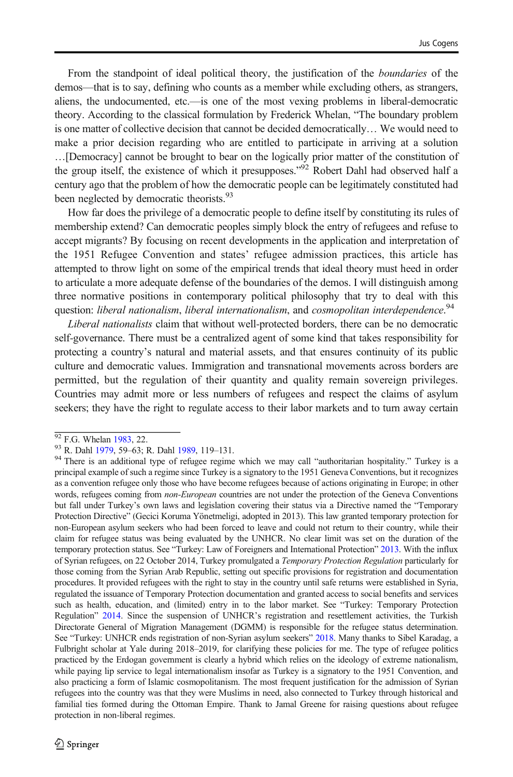From the standpoint of ideal political theory, the justification of the boundaries of the demos—that is to say, defining who counts as a member while excluding others, as strangers, aliens, the undocumented, etc.—is one of the most vexing problems in liberal-democratic theory. According to the classical formulation by Frederick Whelan, "The boundary problem is one matter of collective decision that cannot be decided democratically… We would need to make a prior decision regarding who are entitled to participate in arriving at a solution …[Democracy] cannot be brought to bear on the logically prior matter of the constitution of the group itself, the existence of which it presupposes."<sup>92</sup> Robert Dahl had observed half a century ago that the problem of how the democratic people can be legitimately constituted had been neglected by democratic theorists.<sup>93</sup>

How far does the privilege of a democratic people to define itself by constituting its rules of membership extend? Can democratic peoples simply block the entry of refugees and refuse to accept migrants? By focusing on recent developments in the application and interpretation of the 1951 Refugee Convention and states' refugee admission practices, this article has attempted to throw light on some of the empirical trends that ideal theory must heed in order to articulate a more adequate defense of the boundaries of the demos. I will distinguish among three normative positions in contemporary political philosophy that try to deal with this question: liberal nationalism, liberal internationalism, and cosmopolitan interdependence.<sup>94</sup>

Liberal nationalists claim that without well-protected borders, there can be no democratic self-governance. There must be a centralized agent of some kind that takes responsibility for protecting a country's natural and material assets, and that ensures continuity of its public culture and democratic values. Immigration and transnational movements across borders are permitted, but the regulation of their quantity and quality remain sovereign privileges. Countries may admit more or less numbers of refugees and respect the claims of asylum seekers; they have the right to regulate access to their labor markets and to turn away certain

 $\frac{92}{92}$  F.G. Whelan [1983,](#page-24-0) 22.<br><sup>93</sup> R. Dahl [1979](#page-22-0), 59–63; R. Dahl [1989,](#page-22-0) 119–131.<br><sup>94</sup> There is an additional type of refugee regime which we may call "authoritarian hospitality." Turkey is a principal example of such a regime since Turkey is a signatory to the 1951 Geneva Conventions, but it recognizes as a convention refugee only those who have become refugees because of actions originating in Europe; in other words, refugees coming from *non-European* countries are not under the protection of the Geneva Conventions but fall under Turkey's own laws and legislation covering their status via a Directive named the "Temporary Protection Directive" (Gecici Koruma Yönetmeligi, adopted in 2013). This law granted temporary protection for non-European asylum seekers who had been forced to leave and could not return to their country, while their claim for refugee status was being evaluated by the UNHCR. No clear limit was set on the duration of the temporary protection status. See "Turkey: Law of Foreigners and International Protection" [2013.](#page-25-0) With the influx of Syrian refugees, on 22 October 2014, Turkey promulgated a Temporary Protection Regulation particularly for those coming from the Syrian Arab Republic, setting out specific provisions for registration and documentation procedures. It provided refugees with the right to stay in the country until safe returns were established in Syria, regulated the issuance of Temporary Protection documentation and granted access to social benefits and services such as health, education, and (limited) entry in to the labor market. See "Turkey: Temporary Protection Regulation" [2014.](#page-25-0) Since the suspension of UNHCR's registration and resettlement activities, the Turkish Directorate General of Migration Management (DGMM) is responsible for the refugee status determination. See "Turkey: UNHCR ends registration of non-Syrian asylum seekers" [2018.](#page-25-0) Many thanks to Sibel Karadag, a Fulbright scholar at Yale during 2018–2019, for clarifying these policies for me. The type of refugee politics practiced by the Erdogan government is clearly a hybrid which relies on the ideology of extreme nationalism, while paying lip service to legal internationalism insofar as Turkey is a signatory to the 1951 Convention, and also practicing a form of Islamic cosmopolitanism. The most frequent justification for the admission of Syrian refugees into the country was that they were Muslims in need, also connected to Turkey through historical and familial ties formed during the Ottoman Empire. Thank to Jamal Greene for raising questions about refugee protection in non-liberal regimes.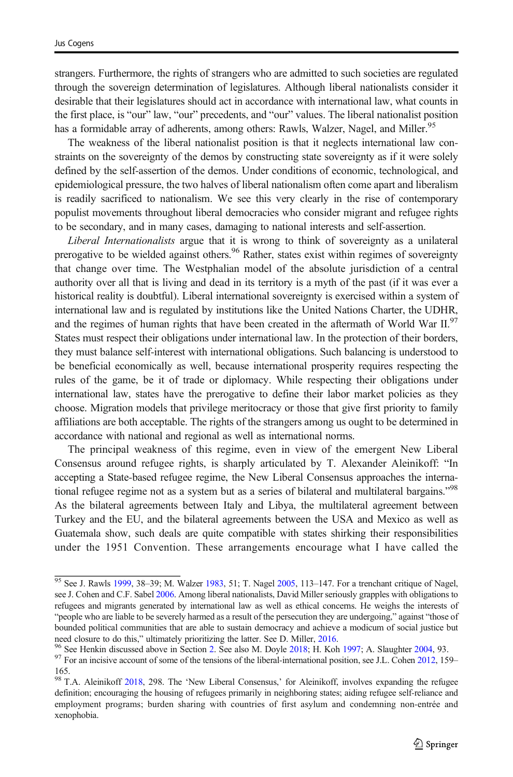strangers. Furthermore, the rights of strangers who are admitted to such societies are regulated through the sovereign determination of legislatures. Although liberal nationalists consider it desirable that their legislatures should act in accordance with international law, what counts in the first place, is "our" law, "our" precedents, and "our" values. The liberal nationalist position has a formidable array of adherents, among others: Rawls, Walzer, Nagel, and Miller.<sup>95</sup>

The weakness of the liberal nationalist position is that it neglects international law constraints on the sovereignty of the demos by constructing state sovereignty as if it were solely defined by the self-assertion of the demos. Under conditions of economic, technological, and epidemiological pressure, the two halves of liberal nationalism often come apart and liberalism is readily sacrificed to nationalism. We see this very clearly in the rise of contemporary populist movements throughout liberal democracies who consider migrant and refugee rights to be secondary, and in many cases, damaging to national interests and self-assertion.

Liberal Internationalists argue that it is wrong to think of sovereignty as a unilateral prerogative to be wielded against others.<sup>96</sup> Rather, states exist within regimes of sovereignty that change over time. The Westphalian model of the absolute jurisdiction of a central authority over all that is living and dead in its territory is a myth of the past (if it was ever a historical reality is doubtful). Liberal international sovereignty is exercised within a system of international law and is regulated by institutions like the United Nations Charter, the UDHR, and the regimes of human rights that have been created in the aftermath of World War II. $\frac{97}{2}$ States must respect their obligations under international law. In the protection of their borders, they must balance self-interest with international obligations. Such balancing is understood to be beneficial economically as well, because international prosperity requires respecting the rules of the game, be it of trade or diplomacy. While respecting their obligations under international law, states have the prerogative to define their labor market policies as they choose. Migration models that privilege meritocracy or those that give first priority to family affiliations are both acceptable. The rights of the strangers among us ought to be determined in accordance with national and regional as well as international norms.

The principal weakness of this regime, even in view of the emergent New Liberal Consensus around refugee rights, is sharply articulated by T. Alexander Aleinikoff: "In accepting a State-based refugee regime, the New Liberal Consensus approaches the international refugee regime not as a system but as a series of bilateral and multilateral bargains."<sup>98</sup> As the bilateral agreements between Italy and Libya, the multilateral agreement between Turkey and the EU, and the bilateral agreements between the USA and Mexico as well as Guatemala show, such deals are quite compatible with states shirking their responsibilities under the 1951 Convention. These arrangements encourage what I have called the

 $95$  See J. Rawls [1999,](#page-24-0) 38–39; M. Walzer [1983,](#page-24-0) 51; T. Nagel [2005](#page-23-0), 113–147. For a trenchant critique of Nagel, see J. Cohen and C.F. Sabel [2006](#page-22-0). Among liberal nationalists, David Miller seriously grapples with obligations to refugees and migrants generated by international law as well as ethical concerns. He weighs the interests of "people who are liable to be severely harmed as a result of the persecution they are undergoing," against "those of bounded political communities that are able to sustain democracy and achieve a modicum of social justice but

need closure to do this," ultimately prioritizing the latter. See D. Miller, [2016](#page-23-0).<br><sup>96</sup> See Henkin discussed above in Section [2](#page-4-0). See also M. Doyle [2018;](#page-22-0) H. Koh [1997](#page-23-0); A. Slaughter [2004,](#page-24-0) 93.<br><sup>97</sup> For an incisive account of s

<sup>165.</sup>

<sup>&</sup>lt;sup>98</sup> T.A. Aleinikoff [2018](#page-22-0), 298. The 'New Liberal Consensus,' for Aleinikoff, involves expanding the refugee definition; encouraging the housing of refugees primarily in neighboring states; aiding refugee self-reliance and employment programs; burden sharing with countries of first asylum and condemning non-entrée and xenophobia.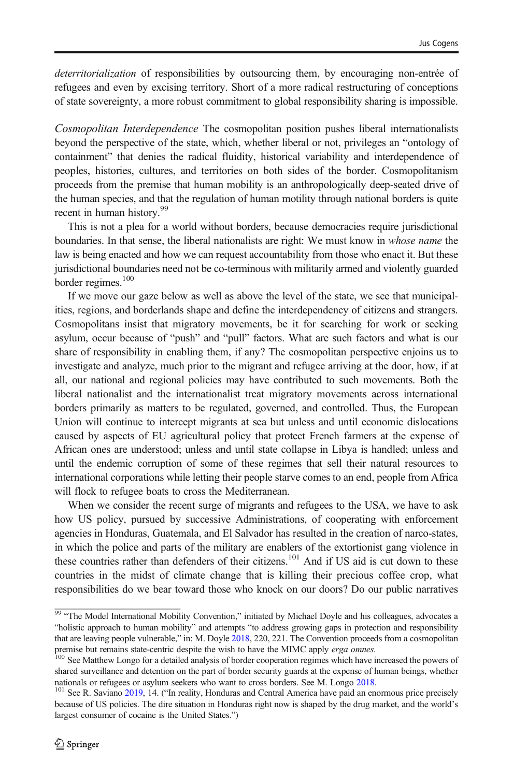deterritorialization of responsibilities by outsourcing them, by encouraging non-entrée of refugees and even by excising territory. Short of a more radical restructuring of conceptions of state sovereignty, a more robust commitment to global responsibility sharing is impossible.

Cosmopolitan Interdependence The cosmopolitan position pushes liberal internationalists beyond the perspective of the state, which, whether liberal or not, privileges an "ontology of containment" that denies the radical fluidity, historical variability and interdependence of peoples, histories, cultures, and territories on both sides of the border. Cosmopolitanism proceeds from the premise that human mobility is an anthropologically deep-seated drive of the human species, and that the regulation of human motility through national borders is quite recent in human history.<sup>99</sup>

This is not a plea for a world without borders, because democracies require jurisdictional boundaries. In that sense, the liberal nationalists are right: We must know in *whose name* the law is being enacted and how we can request accountability from those who enact it. But these jurisdictional boundaries need not be co-terminous with militarily armed and violently guarded border regimes.<sup>100</sup>

If we move our gaze below as well as above the level of the state, we see that municipalities, regions, and borderlands shape and define the interdependency of citizens and strangers. Cosmopolitans insist that migratory movements, be it for searching for work or seeking asylum, occur because of "push" and "pull" factors. What are such factors and what is our share of responsibility in enabling them, if any? The cosmopolitan perspective enjoins us to investigate and analyze, much prior to the migrant and refugee arriving at the door, how, if at all, our national and regional policies may have contributed to such movements. Both the liberal nationalist and the internationalist treat migratory movements across international borders primarily as matters to be regulated, governed, and controlled. Thus, the European Union will continue to intercept migrants at sea but unless and until economic dislocations caused by aspects of EU agricultural policy that protect French farmers at the expense of African ones are understood; unless and until state collapse in Libya is handled; unless and until the endemic corruption of some of these regimes that sell their natural resources to international corporations while letting their people starve comes to an end, people from Africa will flock to refugee boats to cross the Mediterranean.

When we consider the recent surge of migrants and refugees to the USA, we have to ask how US policy, pursued by successive Administrations, of cooperating with enforcement agencies in Honduras, Guatemala, and El Salvador has resulted in the creation of narco-states, in which the police and parts of the military are enablers of the extortionist gang violence in these countries rather than defenders of their citizens.<sup>101</sup> And if US aid is cut down to these countries in the midst of climate change that is killing their precious coffee crop, what responsibilities do we bear toward those who knock on our doors? Do our public narratives

<sup>&</sup>lt;sup>99</sup> "The Model International Mobility Convention," initiated by Michael Doyle and his colleagues, advocates a "holistic approach to human mobility" and attempts "to address growing gaps in protection and responsibility that are leaving people vulnerable," in: M. Doyle [2018,](#page-22-0) 220, 221. The Convention proceeds from a cosmopolitan premise but remains state-centric despite the wish to have the MIMC apply *erga omnes*.<br><sup>100</sup> See Matthew Longo for a detailed analysis of border cooperation regimes which have increased the powers of

shared surveillance and detention on the part of border security guards at the expense of human beings, whether nationals or refugees or asylum seekers who want to cross borders. See M. Longo [2018.](#page-23-0)<br><sup>101</sup> See R. Saviano [2019](#page-24-0), 14. ("In reality, Honduras and Central America have paid an enormous price precisely

because of US policies. The dire situation in Honduras right now is shaped by the drug market, and the world's largest consumer of cocaine is the United States.")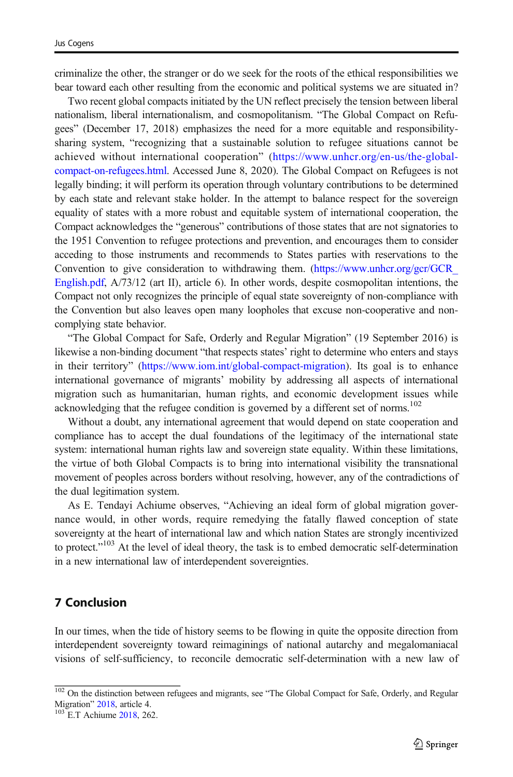criminalize the other, the stranger or do we seek for the roots of the ethical responsibilities we bear toward each other resulting from the economic and political systems we are situated in?

Two recent global compacts initiated by the UN reflect precisely the tension between liberal nationalism, liberal internationalism, and cosmopolitanism. "The Global Compact on Refugees" (December 17, 2018) emphasizes the need for a more equitable and responsibilitysharing system, "recognizing that a sustainable solution to refugee situations cannot be achieved without international cooperation" ([https://www.unhcr.org/en-us/the-global](https://www.unhcr.org/en-us/the-global-compact-on-refugees.html)[compact-on-refugees.html.](https://www.unhcr.org/en-us/the-global-compact-on-refugees.html) Accessed June 8, 2020). The Global Compact on Refugees is not legally binding; it will perform its operation through voluntary contributions to be determined by each state and relevant stake holder. In the attempt to balance respect for the sovereign equality of states with a more robust and equitable system of international cooperation, the Compact acknowledges the "generous" contributions of those states that are not signatories to the 1951 Convention to refugee protections and prevention, and encourages them to consider acceding to those instruments and recommends to States parties with reservations to the Convention to give consideration to withdrawing them. (https://www.unhcr.org/gcr/GCR [English.pdf](https://www.unhcr.org/gcr/GCR_English.pdf), A/73/12 (art II), article 6). In other words, despite cosmopolitan intentions, the Compact not only recognizes the principle of equal state sovereignty of non-compliance with the Convention but also leaves open many loopholes that excuse non-cooperative and noncomplying state behavior.

"The Global Compact for Safe, Orderly and Regular Migration" (19 September 2016) is likewise a non-binding document "that respects states' right to determine who enters and stays in their territory" [\(https://www.iom.int/global-compact-migration](https://www.iom.int/global-compact-migration)). Its goal is to enhance international governance of migrants' mobility by addressing all aspects of international migration such as humanitarian, human rights, and economic development issues while acknowledging that the refugee condition is governed by a different set of norms.<sup>102</sup>

Without a doubt, any international agreement that would depend on state cooperation and compliance has to accept the dual foundations of the legitimacy of the international state system: international human rights law and sovereign state equality. Within these limitations, the virtue of both Global Compacts is to bring into international visibility the transnational movement of peoples across borders without resolving, however, any of the contradictions of the dual legitimation system.

As E. Tendayi Achiume observes, "Achieving an ideal form of global migration governance would, in other words, require remedying the fatally flawed conception of state sovereignty at the heart of international law and which nation States are strongly incentivized to protect."<sup>103</sup> At the level of ideal theory, the task is to embed democratic self-determination in a new international law of interdependent sovereignties.

### 7 Conclusion

In our times, when the tide of history seems to be flowing in quite the opposite direction from interdependent sovereignty toward reimaginings of national autarchy and megalomaniacal visions of self-sufficiency, to reconcile democratic self-determination with a new law of

 $\frac{102}{102}$  On the distinction between refugees and migrants, see "The Global Compact for Safe, Orderly, and Regular Migration"  $2018$ , article 4.

 $^{103}$  E.T Achiume [2018,](#page-22-0) 262.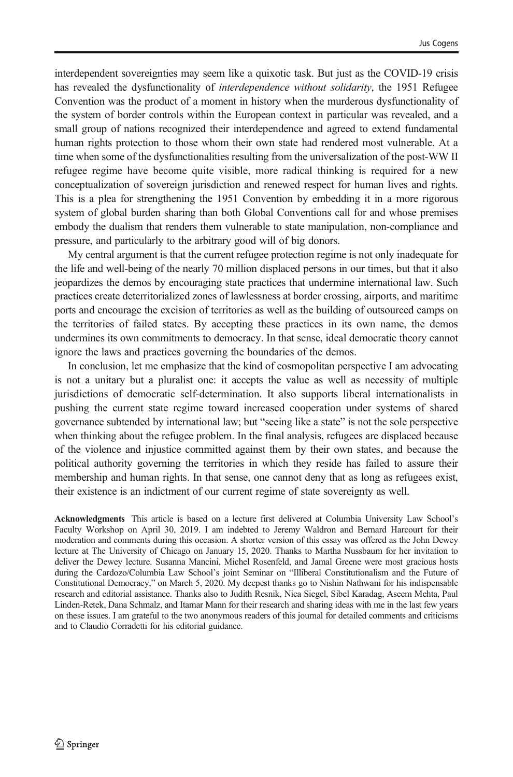interdependent sovereignties may seem like a quixotic task. But just as the COVID-19 crisis has revealed the dysfunctionality of *interdependence without solidarity*, the 1951 Refugee Convention was the product of a moment in history when the murderous dysfunctionality of the system of border controls within the European context in particular was revealed, and a small group of nations recognized their interdependence and agreed to extend fundamental human rights protection to those whom their own state had rendered most vulnerable. At a time when some of the dysfunctionalities resulting from the universalization of the post-WW II refugee regime have become quite visible, more radical thinking is required for a new conceptualization of sovereign jurisdiction and renewed respect for human lives and rights. This is a plea for strengthening the 1951 Convention by embedding it in a more rigorous system of global burden sharing than both Global Conventions call for and whose premises embody the dualism that renders them vulnerable to state manipulation, non-compliance and pressure, and particularly to the arbitrary good will of big donors.

My central argument is that the current refugee protection regime is not only inadequate for the life and well-being of the nearly 70 million displaced persons in our times, but that it also jeopardizes the demos by encouraging state practices that undermine international law. Such practices create deterritorialized zones of lawlessness at border crossing, airports, and maritime ports and encourage the excision of territories as well as the building of outsourced camps on the territories of failed states. By accepting these practices in its own name, the demos undermines its own commitments to democracy. In that sense, ideal democratic theory cannot ignore the laws and practices governing the boundaries of the demos.

In conclusion, let me emphasize that the kind of cosmopolitan perspective I am advocating is not a unitary but a pluralist one: it accepts the value as well as necessity of multiple jurisdictions of democratic self-determination. It also supports liberal internationalists in pushing the current state regime toward increased cooperation under systems of shared governance subtended by international law; but "seeing like a state" is not the sole perspective when thinking about the refugee problem. In the final analysis, refugees are displaced because of the violence and injustice committed against them by their own states, and because the political authority governing the territories in which they reside has failed to assure their membership and human rights. In that sense, one cannot deny that as long as refugees exist, their existence is an indictment of our current regime of state sovereignty as well.

Acknowledgments This article is based on a lecture first delivered at Columbia University Law School's Faculty Workshop on April 30, 2019. I am indebted to Jeremy Waldron and Bernard Harcourt for their moderation and comments during this occasion. A shorter version of this essay was offered as the John Dewey lecture at The University of Chicago on January 15, 2020. Thanks to Martha Nussbaum for her invitation to deliver the Dewey lecture. Susanna Mancini, Michel Rosenfeld, and Jamal Greene were most gracious hosts during the Cardozo/Columbia Law School's joint Seminar on "Illiberal Constitutionalism and the Future of Constitutional Democracy," on March 5, 2020. My deepest thanks go to Nishin Nathwani for his indispensable research and editorial assistance. Thanks also to Judith Resnik, Nica Siegel, Sibel Karadag, Aseem Mehta, Paul Linden-Retek, Dana Schmalz, and Itamar Mann for their research and sharing ideas with me in the last few years on these issues. I am grateful to the two anonymous readers of this journal for detailed comments and criticisms and to Claudio Corradetti for his editorial guidance.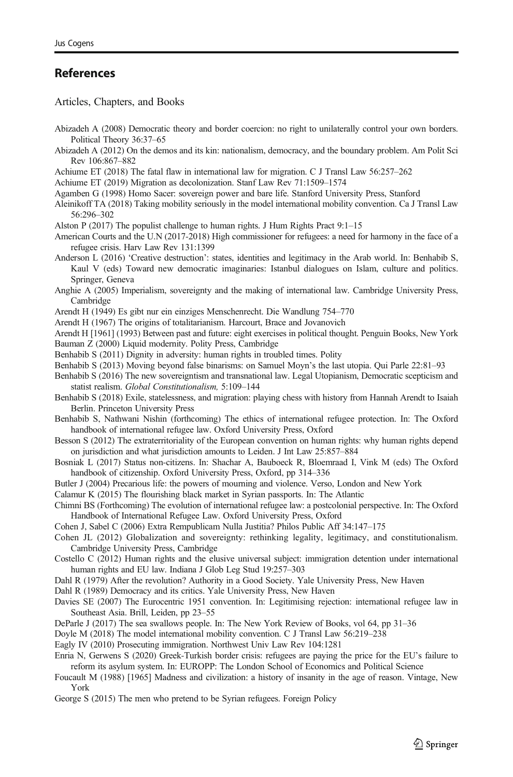#### <span id="page-22-0"></span>References

Articles, Chapters, and Books

- Abizadeh A (2008) Democratic theory and border coercion: no right to unilaterally control your own borders. Political Theory 36:37–65
- Abizadeh A (2012) On the demos and its kin: nationalism, democracy, and the boundary problem. Am Polit Sci Rev 106:867–882
- Achiume ET (2018) The fatal flaw in international law for migration. C J Transl Law 56:257–262
- Achiume ET (2019) Migration as decolonization. Stanf Law Rev 71:1509–1574
- Agamben G (1998) Homo Sacer: sovereign power and bare life. Stanford University Press, Stanford
- Aleinikoff TA (2018) Taking mobility seriously in the model international mobility convention. Ca J Transl Law 56:296–302
- Alston P (2017) The populist challenge to human rights. J Hum Rights Pract 9:1–15
- American Courts and the U.N (2017-2018) High commissioner for refugees: a need for harmony in the face of a refugee crisis. Harv Law Rev 131:1399
- Anderson L (2016) 'Creative destruction': states, identities and legitimacy in the Arab world. In: Benhabib S, Kaul V (eds) Toward new democratic imaginaries: Istanbul dialogues on Islam, culture and politics. Springer, Geneva
- Anghie A (2005) Imperialism, sovereignty and the making of international law. Cambridge University Press, Cambridge
- Arendt H (1949) Es gibt nur ein einziges Menschenrecht. Die Wandlung 754–770
- Arendt H (1967) The origins of totalitarianism. Harcourt, Brace and Jovanovich

Arendt H [1961] (1993) Between past and future: eight exercises in political thought. Penguin Books, New York Bauman Z (2000) Liquid modernity. Polity Press, Cambridge

- Benhabib S (2011) Dignity in adversity: human rights in troubled times. Polity
- Benhabib S (2013) Moving beyond false binarisms: on Samuel Moyn's the last utopia. Qui Parle 22:81–93
- Benhabib S (2016) The new sovereigntism and transnational law. Legal Utopianism, Democratic scepticism and statist realism. Global Constitutionalism, 5:109–144
- Benhabib S (2018) Exile, statelessness, and migration: playing chess with history from Hannah Arendt to Isaiah Berlin. Princeton University Press
- Benhabib S, Nathwani Nishin (forthcoming) The ethics of international refugee protection. In: The Oxford handbook of international refugee law. Oxford University Press, Oxford
- Besson S (2012) The extraterritoriality of the European convention on human rights: why human rights depend on jurisdiction and what jurisdiction amounts to Leiden. J Int Law 25:857–884
- Bosniak L (2017) Status non-citizens. In: Shachar A, Bauboeck R, Bloemraad I, Vink M (eds) The Oxford handbook of citizenship. Oxford University Press, Oxford, pp 314–336
- Butler J (2004) Precarious life: the powers of mourning and violence. Verso, London and New York
- Calamur K (2015) The flourishing black market in Syrian passports. In: The Atlantic
- Chimni BS (Forthcoming) The evolution of international refugee law: a postcolonial perspective. In: The Oxford Handbook of International Refugee Law. Oxford University Press, Oxford
- Cohen J, Sabel C (2006) Extra Rempublicam Nulla Justitia? Philos Public Aff 34:147–175
- Cohen JL (2012) Globalization and sovereignty: rethinking legality, legitimacy, and constitutionalism. Cambridge University Press, Cambridge
- Costello C (2012) Human rights and the elusive universal subject: immigration detention under international human rights and EU law. Indiana J Glob Leg Stud 19:257–303
- Dahl R (1979) After the revolution? Authority in a Good Society. Yale University Press, New Haven
- Dahl R (1989) Democracy and its critics. Yale University Press, New Haven
- Davies SE (2007) The Eurocentric 1951 convention. In: Legitimising rejection: international refugee law in Southeast Asia. Brill, Leiden, pp 23–55
- DeParle J (2017) The sea swallows people. In: The New York Review of Books, vol 64, pp 31–36
- Doyle M (2018) The model international mobility convention. C J Transl Law 56:219–238
- Eagly IV (2010) Prosecuting immigration. Northwest Univ Law Rev 104:1281
- Enria N, Gerwens S (2020) Greek-Turkish border crisis: refugees are paying the price for the EU's failure to reform its asylum system. In: EUROPP: The London School of Economics and Political Science
- Foucault M (1988) [1965] Madness and civilization: a history of insanity in the age of reason. Vintage, New York
- George S (2015) The men who pretend to be Syrian refugees. Foreign Policy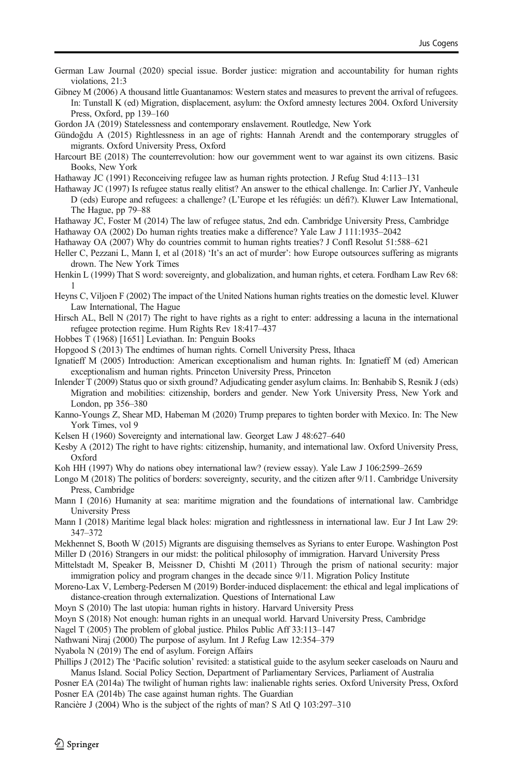<span id="page-23-0"></span>German Law Journal (2020) special issue. Border justice: migration and accountability for human rights violations, 21:3

Gibney M (2006) A thousand little Guantanamos: Western states and measures to prevent the arrival of refugees. In: Tunstall K (ed) Migration, displacement, asylum: the Oxford amnesty lectures 2004. Oxford University Press, Oxford, pp 139–160

Gordon JA (2019) Statelessness and contemporary enslavement. Routledge, New York

Gündoğdu A (2015) Rightlessness in an age of rights: Hannah Arendt and the contemporary struggles of migrants. Oxford University Press, Oxford

Harcourt BE (2018) The counterrevolution: how our government went to war against its own citizens. Basic Books, New York

Hathaway JC (1991) Reconceiving refugee law as human rights protection. J Refug Stud 4:113–131

Hathaway JC (1997) Is refugee status really elitist? An answer to the ethical challenge. In: Carlier JY, Vanheule D (eds) Europe and refugees: a challenge? (L'Europe et les réfugiés: un défi?). Kluwer Law International, The Hague, pp 79–88

Hathaway JC, Foster M (2014) The law of refugee status, 2nd edn. Cambridge University Press, Cambridge Hathaway OA (2002) Do human rights treaties make a difference? Yale Law J 111:1935–2042

Hathaway OA (2007) Why do countries commit to human rights treaties? J Confl Resolut 51:588–621

Heller C, Pezzani L, Mann I, et al (2018) 'It's an act of murder': how Europe outsources suffering as migrants drown. The New York Times

Henkin L (1999) That S word: sovereignty, and globalization, and human rights, et cetera. Fordham Law Rev 68: 1

Heyns C, Viljoen F (2002) The impact of the United Nations human rights treaties on the domestic level. Kluwer Law International, The Hague

Hirsch AL, Bell N (2017) The right to have rights as a right to enter: addressing a lacuna in the international refugee protection regime. Hum Rights Rev 18:417–437

Hobbes T (1968) [1651] Leviathan. In: Penguin Books

Hopgood S (2013) The endtimes of human rights. Cornell University Press, Ithaca

Ignatieff M (2005) Introduction: American exceptionalism and human rights. In: Ignatieff M (ed) American exceptionalism and human rights. Princeton University Press, Princeton

Inlender T (2009) Status quo or sixth ground? Adjudicating gender asylum claims. In: Benhabib S, Resnik J (eds) Migration and mobilities: citizenship, borders and gender. New York University Press, New York and London, pp 356–380

Kanno-Youngs Z, Shear MD, Habeman M (2020) Trump prepares to tighten border with Mexico. In: The New York Times, vol 9

Kelsen H (1960) Sovereignty and international law. Georget Law J 48:627–640

Kesby A (2012) The right to have rights: citizenship, humanity, and international law. Oxford University Press, Oxford

Koh HH (1997) Why do nations obey international law? (review essay). Yale Law J 106:2599–2659

Longo M (2018) The politics of borders: sovereignty, security, and the citizen after 9/11. Cambridge University Press, Cambridge

Mann I (2016) Humanity at sea: maritime migration and the foundations of international law. Cambridge University Press

Mann I (2018) Maritime legal black holes: migration and rightlessness in international law. Eur J Int Law 29: 347–372

Mekhennet S, Booth W (2015) Migrants are disguising themselves as Syrians to enter Europe. Washington Post Miller D (2016) Strangers in our midst: the political philosophy of immigration. Harvard University Press

Mittelstadt M, Speaker B, Meissner D, Chishti M (2011) Through the prism of national security: major immigration policy and program changes in the decade since 9/11. Migration Policy Institute

Moreno-Lax V, Lemberg-Pedersen M (2019) Border-induced displacement: the ethical and legal implications of distance-creation through externalization. Questions of International Law

Moyn S (2010) The last utopia: human rights in history. Harvard University Press

Moyn S (2018) Not enough: human rights in an unequal world. Harvard University Press, Cambridge

Nagel T (2005) The problem of global justice. Philos Public Aff 33:113–147

Nathwani Niraj (2000) The purpose of asylum. Int J Refug Law 12:354–379

Nyabola N (2019) The end of asylum. Foreign Affairs

Phillips J (2012) The 'Pacific solution' revisited: a statistical guide to the asylum seeker caseloads on Nauru and Manus Island. Social Policy Section, Department of Parliamentary Services, Parliament of Australia

Posner EA (2014a) The twilight of human rights law: inalienable rights series. Oxford University Press, Oxford Posner EA (2014b) The case against human rights. The Guardian

Rancière J (2004) Who is the subject of the rights of man? S Atl Q 103:297–310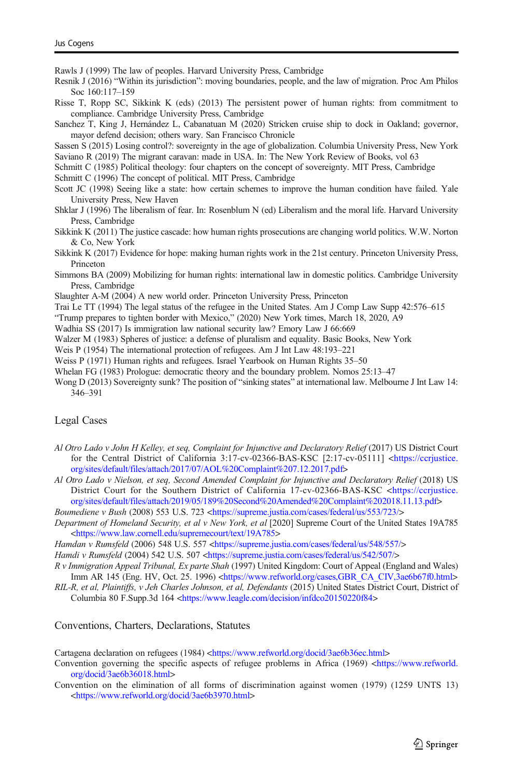<span id="page-24-0"></span>Rawls J (1999) The law of peoples. Harvard University Press, Cambridge

Resnik J (2016) "Within its jurisdiction": moving boundaries, people, and the law of migration. Proc Am Philos Soc 160:117–159

Risse T, Ropp SC, Sikkink K (eds) (2013) The persistent power of human rights: from commitment to compliance. Cambridge University Press, Cambridge

Sanchez T, King J, Hernández L, Cabanatuan M (2020) Stricken cruise ship to dock in Oakland; governor, mayor defend decision; others wary. San Francisco Chronicle

Sassen S (2015) Losing control?: sovereignty in the age of globalization. Columbia University Press, New York

Saviano R (2019) The migrant caravan: made in USA. In: The New York Review of Books, vol 63

Schmitt C (1985) Political theology: four chapters on the concept of sovereignty. MIT Press, Cambridge

Schmitt C (1996) The concept of political. MIT Press, Cambridge

Scott JC (1998) Seeing like a state: how certain schemes to improve the human condition have failed. Yale University Press, New Haven

- Shklar J (1996) The liberalism of fear. In: Rosenblum N (ed) Liberalism and the moral life. Harvard University Press, Cambridge
- Sikkink K (2011) The justice cascade: how human rights prosecutions are changing world politics. W.W. Norton & Co, New York

Sikkink K (2017) Evidence for hope: making human rights work in the 21st century. Princeton University Press, Princeton

Simmons BA (2009) Mobilizing for human rights: international law in domestic politics. Cambridge University Press, Cambridge

Slaughter A-M (2004) A new world order. Princeton University Press, Princeton

Trai Le TT (1994) The legal status of the refugee in the United States. Am J Comp Law Supp 42:576–615

"Trump prepares to tighten border with Mexico," (2020) New York times, March 18, 2020, A9

Wadhia SS (2017) Is immigration law national security law? Emory Law J 66:669

Walzer M (1983) Spheres of justice: a defense of pluralism and equality. Basic Books, New York

Weis P (1954) The international protection of refugees. Am J Int Law 48:193–221

Weiss P (1971) Human rights and refugees. Israel Yearbook on Human Rights 35–50

Whelan FG (1983) Prologue: democratic theory and the boundary problem. Nomos 25:13–47

Wong D (2013) Sovereignty sunk? The position of "sinking states" at international law. Melbourne J Int Law 14: 346–391

#### Legal Cases

Al Otro Lado v John H Kelley, et seq, Complaint for Injunctive and Declaratory Relief (2017) US District Court for the Central District of California 3:17-cv-02366-BAS-KSC [2:17-cv-05111] <[https://ccrjustice.](https://ccrjustice.org/sites/default/files/attach/2017/07/AOL%20Complaint%207.12.2017.pdf) [org/sites/default/files/attach/2017/07/AOL%20Complaint%207.12.2017.pdf>](https://ccrjustice.org/sites/default/files/attach/2017/07/AOL%20Complaint%207.12.2017.pdf)

Al Otro Lado v Nielson, et seq, Second Amended Complaint for Injunctive and Declaratory Relief (2018) US District Court for the Southern District of California 17-cv-02366-BAS-KSC [<https://ccrjustice.](https://ccrjustice.org/sites/default/files/attach/2019/05/189%20Second%20Amended%20Complaint%202018.11.13.pdf) [org/sites/default/files/attach/2019/05/189%20Second%20Amended%20Complaint%202018.11.13.pdf](https://ccrjustice.org/sites/default/files/attach/2019/05/189%20Second%20Amended%20Complaint%202018.11.13.pdf)>

Boumediene v Bush (2008) 553 U.S. 723 [<https://supreme.justia.com/cases/federal/us/553/723/>](https://supreme.justia.com/cases/federal/us/553/723/)

Department of Homeland Security, et al v New York, et al [2020] Supreme Court of the United States 19A785 [<https://www.law.cornell.edu/supremecourt/text/19A785>](https://www.law.cornell.edu/supremecourt/text/19A785)

Hamdan v Rumsfeld (2006) 548 U.S. 557 <[https://supreme.justia.com/cases/federal/us/548/557/>](https://supreme.justia.com/cases/federal/us/548/557/)

Hamdi v Rumsfeld (2004) 542 U.S. 507 [<https://supreme.justia.com/cases/federal/us/542/507/>](https://supreme.justia.com/cases/federal/us/542/507/)

R v Immigration Appeal Tribunal, Ex parte Shah (1997) United Kingdom: Court of Appeal (England and Wales) Imm AR 145 (Eng. HV, Oct. 25. 1996) <[https://www.refworld.org/cases,GBR\\_CA\\_CIV,3ae6b67f0.html>](https://www.refworld.org/cases,GBR_CA_CIV,3ae6b67f0.html)

RIL-R, et al, Plaintiffs, v Jeh Charles Johnson, et al, Defendants (2015) United States District Court, District of Columbia 80 F.Supp.3d 164 [<https://www.leagle.com/decision/infdco20150220f84](https://www.leagle.com/decision/infdco20150220f84)>

Conventions, Charters, Declarations, Statutes

Cartagena declaration on refugees (1984) <[https://www.refworld.org/docid/3ae6b36ec.html>](https://www.refworld.org/docid/3ae6b36ec.html)

Convention governing the specific aspects of refugee problems in Africa (1969) <[https://www.refworld.](https://www.refworld.org/docid/3ae6b36018.html) [org/docid/3ae6b36018.html>](https://www.refworld.org/docid/3ae6b36018.html)

Convention on the elimination of all forms of discrimination against women (1979) (1259 UNTS 13) [<https://www.refworld.org/docid/3ae6b3970.html](https://www.refworld.org/docid/3ae6b3970.html)>